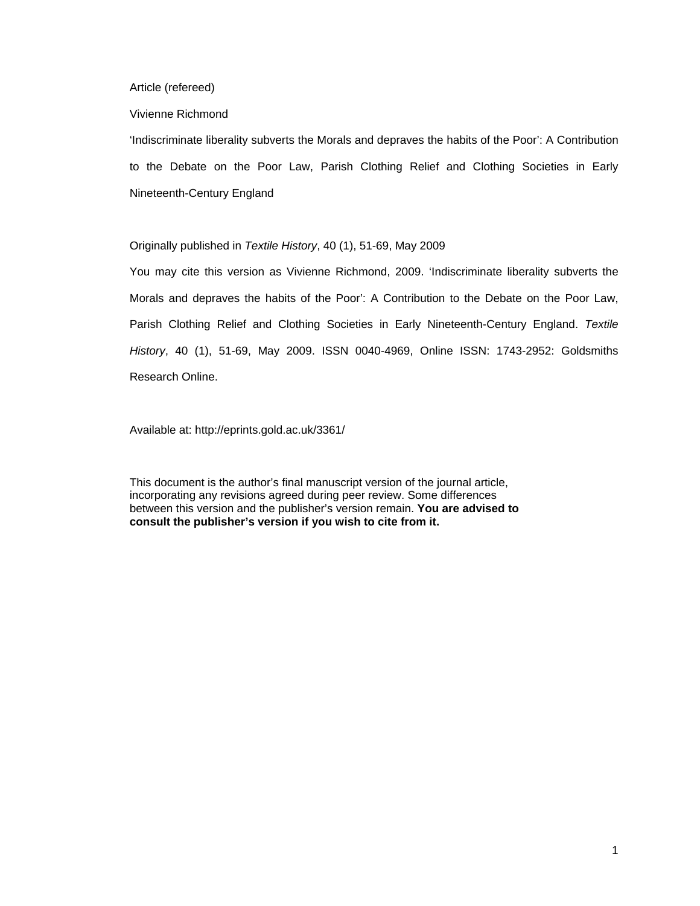Article (refereed)

Vivienne Richmond

'Indiscriminate liberality subverts the Morals and depraves the habits of the Poor': A Contribution to the Debate on the Poor Law, Parish Clothing Relief and Clothing Societies in Early Nineteenth-Century England

# Originally published in *Textile History*, 40 (1), 51-69, May 2009

You may cite this version as Vivienne Richmond, 2009. 'Indiscriminate liberality subverts the Morals and depraves the habits of the Poor': A Contribution to the Debate on the Poor Law, Parish Clothing Relief and Clothing Societies in Early Nineteenth-Century England. *Textile History*, 40 (1), 51-69, May 2009. ISSN 0040-4969, Online ISSN: 1743-2952: Goldsmiths Research Online.

Available at: http://eprints.gold.ac.uk/3361/

This document is the author's final manuscript version of the journal article, incorporating any revisions agreed during peer review. Some differences between this version and the publisher's version remain. **You are advised to consult the publisher's version if you wish to cite from it.**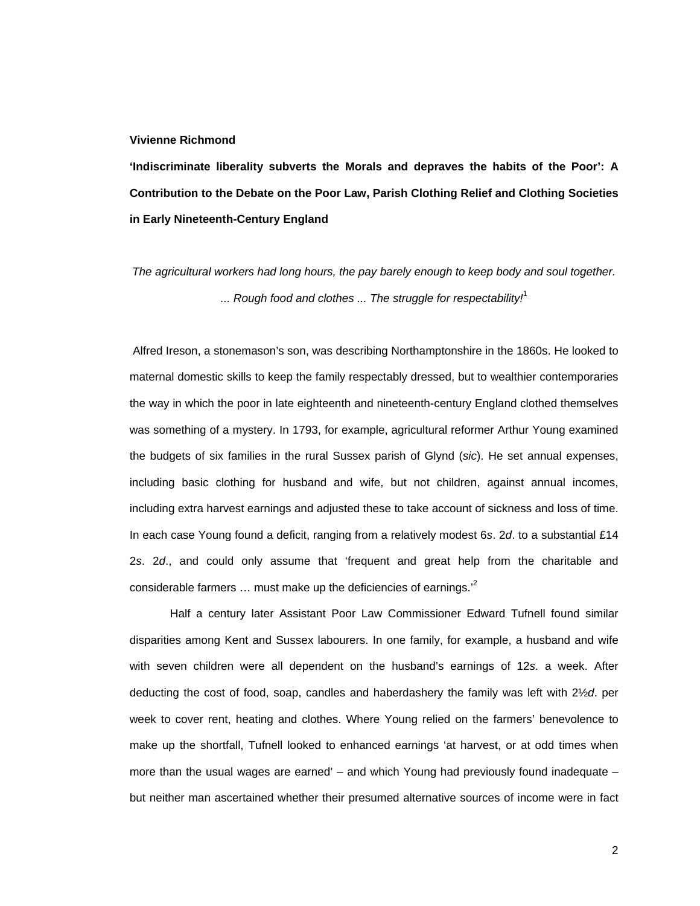#### **Vivienne Richmond**

**'Indiscriminate liberality subverts the Morals and depraves the habits of the Poor': A Contribution to the Debate on the Poor Law, Parish Clothing Relief and Clothing Societies in Early Nineteenth-Century England** 

*The agricultural workers had long hours, the pay barely enough to keep body and soul together.*  ... Rough food and clothes ... The struggle for respectability!<sup>1</sup>

 Alfred Ireson, a stonemason's son, was describing Northamptonshire in the 1860s. He looked to maternal domestic skills to keep the family respectably dressed, but to wealthier contemporaries the way in which the poor in late eighteenth and nineteenth-century England clothed themselves was something of a mystery. In 1793, for example, agricultural reformer Arthur Young examined the budgets of six families in the rural Sussex parish of Glynd (*sic*). He set annual expenses, including basic clothing for husband and wife, but not children, against annual incomes, including extra harvest earnings and adjusted these to take account of sickness and loss of time. In each case Young found a deficit, ranging from a relatively modest 6*s*. 2*d*. to a substantial £14 2*s*. 2*d*., and could only assume that 'frequent and great help from the charitable and considerable farmers ... must make up the deficiencies of earnings.<sup>2</sup>

Half a century later Assistant Poor Law Commissioner Edward Tufnell found similar disparities among Kent and Sussex labourers. In one family, for example, a husband and wife with seven children were all dependent on the husband's earnings of 12*s*. a week. After deducting the cost of food, soap, candles and haberdashery the family was left with 2½*d*. per week to cover rent, heating and clothes. Where Young relied on the farmers' benevolence to make up the shortfall, Tufnell looked to enhanced earnings 'at harvest, or at odd times when more than the usual wages are earned' – and which Young had previously found inadequate – but neither man ascertained whether their presumed alternative sources of income were in fact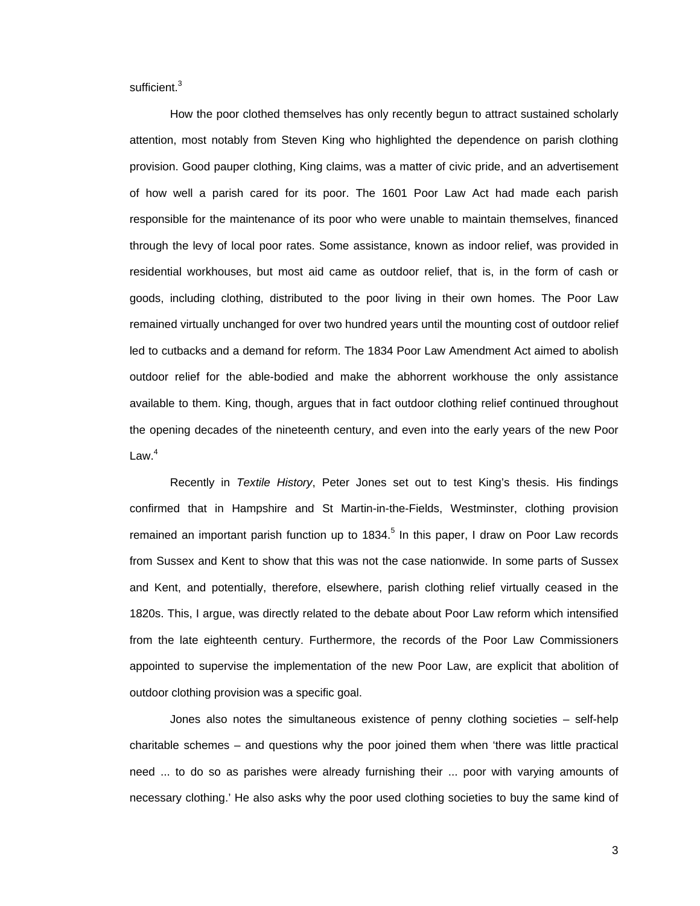sufficient.<sup>3</sup>

How the poor clothed themselves has only recently begun to attract sustained scholarly attention, most notably from Steven King who highlighted the dependence on parish clothing provision. Good pauper clothing, King claims, was a matter of civic pride, and an advertisement of how well a parish cared for its poor. The 1601 Poor Law Act had made each parish responsible for the maintenance of its poor who were unable to maintain themselves, financed through the levy of local poor rates. Some assistance, known as indoor relief, was provided in residential workhouses, but most aid came as outdoor relief, that is, in the form of cash or goods, including clothing, distributed to the poor living in their own homes. The Poor Law remained virtually unchanged for over two hundred years until the mounting cost of outdoor relief led to cutbacks and a demand for reform. The 1834 Poor Law Amendment Act aimed to abolish outdoor relief for the able-bodied and make the abhorrent workhouse the only assistance available to them. King, though, argues that in fact outdoor clothing relief continued throughout the opening decades of the nineteenth century, and even into the early years of the new Poor Law. $<sup>4</sup>$ </sup>

Recently in *Textile History*, Peter Jones set out to test King's thesis. His findings confirmed that in Hampshire and St Martin-in-the-Fields, Westminster, clothing provision remained an important parish function up to 1834.<sup>5</sup> In this paper, I draw on Poor Law records from Sussex and Kent to show that this was not the case nationwide. In some parts of Sussex and Kent, and potentially, therefore, elsewhere, parish clothing relief virtually ceased in the 1820s. This, I argue, was directly related to the debate about Poor Law reform which intensified from the late eighteenth century. Furthermore, the records of the Poor Law Commissioners appointed to supervise the implementation of the new Poor Law, are explicit that abolition of outdoor clothing provision was a specific goal.

Jones also notes the simultaneous existence of penny clothing societies – self-help charitable schemes – and questions why the poor joined them when 'there was little practical need ... to do so as parishes were already furnishing their ... poor with varying amounts of necessary clothing.' He also asks why the poor used clothing societies to buy the same kind of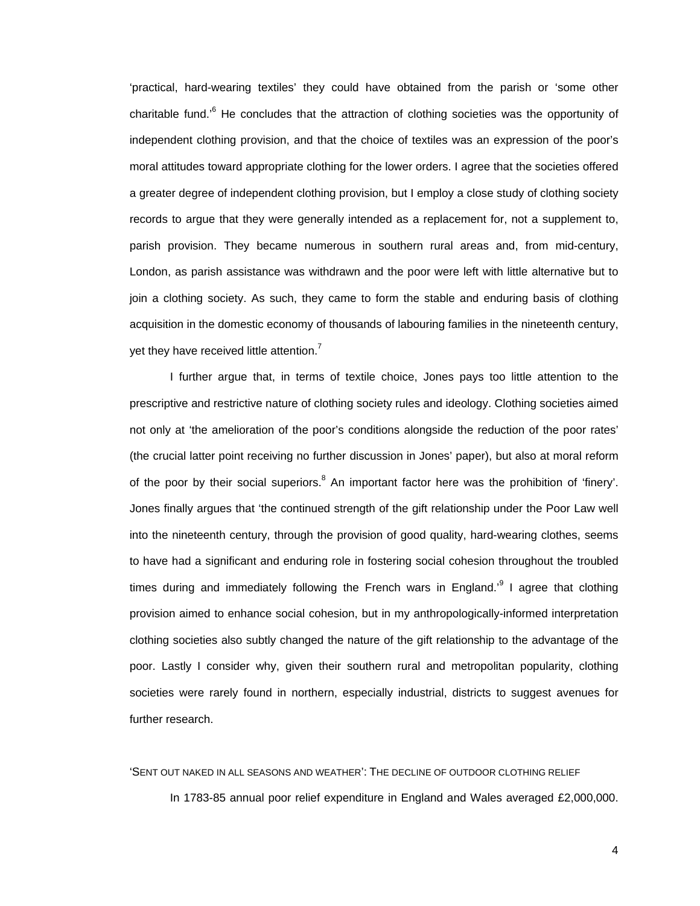'practical, hard-wearing textiles' they could have obtained from the parish or 'some other charitable fund.<sup>6</sup> He concludes that the attraction of clothing societies was the opportunity of independent clothing provision, and that the choice of textiles was an expression of the poor's moral attitudes toward appropriate clothing for the lower orders. I agree that the societies offered a greater degree of independent clothing provision, but I employ a close study of clothing society records to argue that they were generally intended as a replacement for, not a supplement to, parish provision. They became numerous in southern rural areas and, from mid-century, London, as parish assistance was withdrawn and the poor were left with little alternative but to join a clothing society. As such, they came to form the stable and enduring basis of clothing acquisition in the domestic economy of thousands of labouring families in the nineteenth century, yet they have received little attention.<sup>7</sup>

I further argue that, in terms of textile choice, Jones pays too little attention to the prescriptive and restrictive nature of clothing society rules and ideology. Clothing societies aimed not only at 'the amelioration of the poor's conditions alongside the reduction of the poor rates' (the crucial latter point receiving no further discussion in Jones' paper), but also at moral reform of the poor by their social superiors.<sup>8</sup> An important factor here was the prohibition of 'finery'. Jones finally argues that 'the continued strength of the gift relationship under the Poor Law well into the nineteenth century, through the provision of good quality, hard-wearing clothes, seems to have had a significant and enduring role in fostering social cohesion throughout the troubled times during and immediately following the French wars in England.<sup>9</sup> I agree that clothing provision aimed to enhance social cohesion, but in my anthropologically-informed interpretation clothing societies also subtly changed the nature of the gift relationship to the advantage of the poor. Lastly I consider why, given their southern rural and metropolitan popularity, clothing societies were rarely found in northern, especially industrial, districts to suggest avenues for further research.

#### 'SENT OUT NAKED IN ALL SEASONS AND WEATHER': THE DECLINE OF OUTDOOR CLOTHING RELIEF

In 1783-85 annual poor relief expenditure in England and Wales averaged £2,000,000.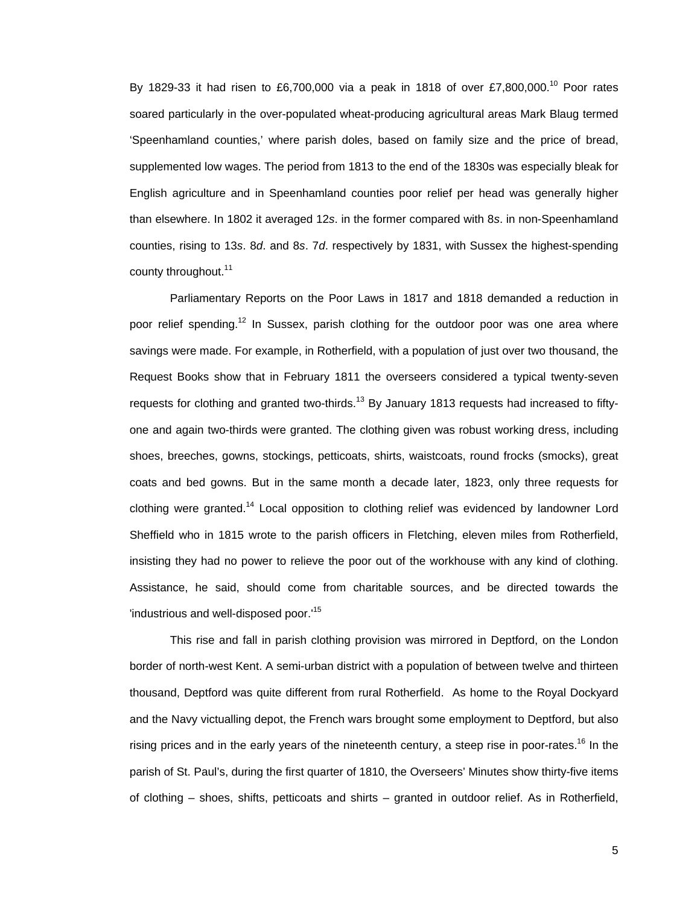By 1829-33 it had risen to £6,700,000 via a peak in 1818 of over £7,800,000.<sup>10</sup> Poor rates soared particularly in the over-populated wheat-producing agricultural areas Mark Blaug termed 'Speenhamland counties,' where parish doles, based on family size and the price of bread, supplemented low wages. The period from 1813 to the end of the 1830s was especially bleak for English agriculture and in Speenhamland counties poor relief per head was generally higher than elsewhere. In 1802 it averaged 12*s*. in the former compared with 8*s*. in non-Speenhamland counties, rising to 13*s*. 8*d*. and 8*s*. 7*d*. respectively by 1831, with Sussex the highest-spending county throughout.<sup>11</sup>

Parliamentary Reports on the Poor Laws in 1817 and 1818 demanded a reduction in poor relief spending.<sup>12</sup> In Sussex, parish clothing for the outdoor poor was one area where savings were made. For example, in Rotherfield, with a population of just over two thousand, the Request Books show that in February 1811 the overseers considered a typical twenty-seven requests for clothing and granted two-thirds.<sup>13</sup> By January 1813 requests had increased to fiftyone and again two-thirds were granted. The clothing given was robust working dress, including shoes, breeches, gowns, stockings, petticoats, shirts, waistcoats, round frocks (smocks), great coats and bed gowns. But in the same month a decade later, 1823, only three requests for clothing were granted.14 Local opposition to clothing relief was evidenced by landowner Lord Sheffield who in 1815 wrote to the parish officers in Fletching, eleven miles from Rotherfield, insisting they had no power to relieve the poor out of the workhouse with any kind of clothing. Assistance, he said, should come from charitable sources, and be directed towards the 'industrious and well-disposed poor.<sup>15</sup>

This rise and fall in parish clothing provision was mirrored in Deptford, on the London border of north-west Kent. A semi-urban district with a population of between twelve and thirteen thousand, Deptford was quite different from rural Rotherfield. As home to the Royal Dockyard and the Navy victualling depot, the French wars brought some employment to Deptford, but also rising prices and in the early years of the nineteenth century, a steep rise in poor-rates.<sup>16</sup> In the parish of St. Paul's, during the first quarter of 1810, the Overseers' Minutes show thirty-five items of clothing – shoes, shifts, petticoats and shirts – granted in outdoor relief. As in Rotherfield,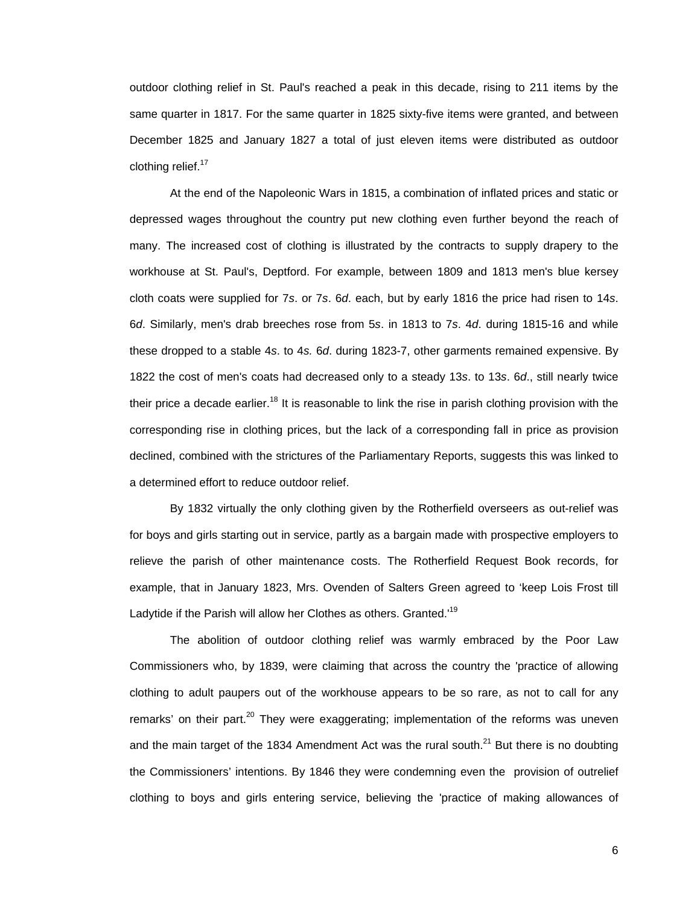outdoor clothing relief in St. Paul's reached a peak in this decade, rising to 211 items by the same quarter in 1817. For the same quarter in 1825 sixty-five items were granted, and between December 1825 and January 1827 a total of just eleven items were distributed as outdoor clothing relief. $17$ 

At the end of the Napoleonic Wars in 1815, a combination of inflated prices and static or depressed wages throughout the country put new clothing even further beyond the reach of many. The increased cost of clothing is illustrated by the contracts to supply drapery to the workhouse at St. Paul's, Deptford. For example, between 1809 and 1813 men's blue kersey cloth coats were supplied for 7*s*. or 7*s*. 6*d*. each, but by early 1816 the price had risen to 14*s*. 6*d*. Similarly, men's drab breeches rose from 5*s*. in 1813 to 7*s*. 4*d*. during 1815-16 and while these dropped to a stable 4*s*. to 4*s.* 6*d*. during 1823-7, other garments remained expensive. By 1822 the cost of men's coats had decreased only to a steady 13*s*. to 13*s*. 6*d*., still nearly twice their price a decade earlier.<sup>18</sup> It is reasonable to link the rise in parish clothing provision with the corresponding rise in clothing prices, but the lack of a corresponding fall in price as provision declined, combined with the strictures of the Parliamentary Reports, suggests this was linked to a determined effort to reduce outdoor relief.

By 1832 virtually the only clothing given by the Rotherfield overseers as out-relief was for boys and girls starting out in service, partly as a bargain made with prospective employers to relieve the parish of other maintenance costs. The Rotherfield Request Book records, for example, that in January 1823, Mrs. Ovenden of Salters Green agreed to 'keep Lois Frost till Ladytide if the Parish will allow her Clothes as others. Granted.<sup>19</sup>

The abolition of outdoor clothing relief was warmly embraced by the Poor Law Commissioners who, by 1839, were claiming that across the country the 'practice of allowing clothing to adult paupers out of the workhouse appears to be so rare, as not to call for any remarks' on their part.<sup>20</sup> They were exaggerating: implementation of the reforms was uneven and the main target of the 1834 Amendment Act was the rural south.<sup>21</sup> But there is no doubting the Commissioners' intentions. By 1846 they were condemning even the provision of outrelief clothing to boys and girls entering service, believing the 'practice of making allowances of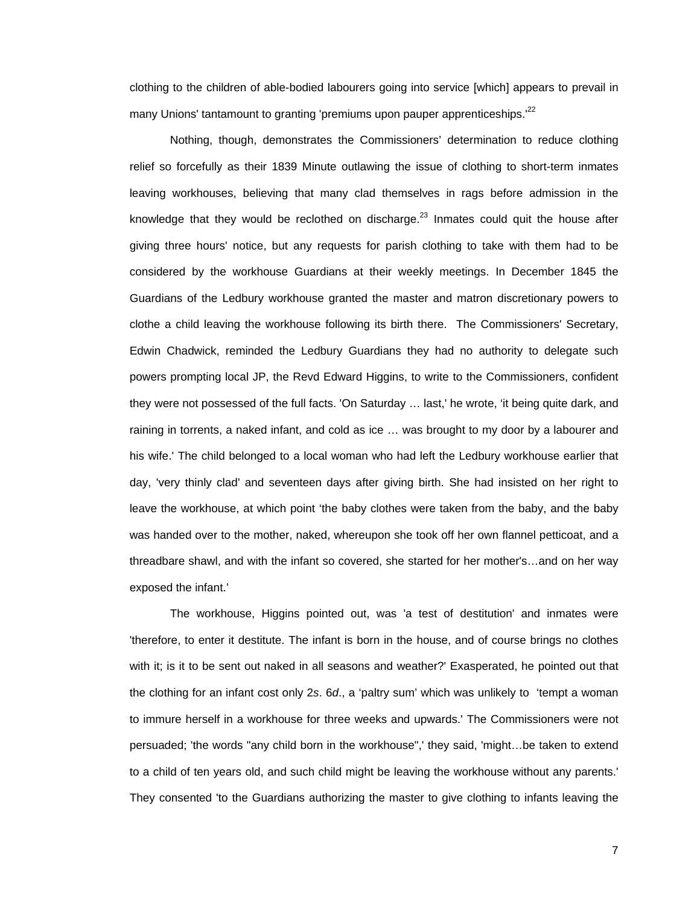clothing to the children of able-bodied labourers going into service [which] appears to prevail in many Unions' tantamount to granting 'premiums upon pauper apprenticeships.<sup>122</sup>

Nothing, though, demonstrates the Commissioners' determination to reduce clothing relief so forcefully as their 1839 Minute outlawing the issue of clothing to short-term inmates leaving workhouses, believing that many clad themselves in rags before admission in the knowledge that they would be reclothed on discharge. $^{23}$  Inmates could quit the house after giving three hours' notice, but any requests for parish clothing to take with them had to be considered by the workhouse Guardians at their weekly meetings. In December 1845 the Guardians of the Ledbury workhouse granted the master and matron discretionary powers to clothe a child leaving the workhouse following its birth there. The Commissioners' Secretary, Edwin Chadwick, reminded the Ledbury Guardians they had no authority to delegate such powers prompting local JP, the Revd Edward Higgins, to write to the Commissioners, confident they were not possessed of the full facts. 'On Saturday … last,' he wrote, 'it being quite dark, and raining in torrents, a naked infant, and cold as ice … was brought to my door by a labourer and his wife.' The child belonged to a local woman who had left the Ledbury workhouse earlier that day, 'very thinly clad' and seventeen days after giving birth. She had insisted on her right to leave the workhouse, at which point 'the baby clothes were taken from the baby, and the baby was handed over to the mother, naked, whereupon she took off her own flannel petticoat, and a threadbare shawl, and with the infant so covered, she started for her mother's…and on her way exposed the infant.'

The workhouse, Higgins pointed out, was 'a test of destitution' and inmates were 'therefore, to enter it destitute. The infant is born in the house, and of course brings no clothes with it; is it to be sent out naked in all seasons and weather?' Exasperated, he pointed out that the clothing for an infant cost only 2*s*. 6*d*., a 'paltry sum' which was unlikely to 'tempt a woman to immure herself in a workhouse for three weeks and upwards.' The Commissioners were not persuaded; 'the words "any child born in the workhouse",' they said, 'might…be taken to extend to a child of ten years old, and such child might be leaving the workhouse without any parents.' They consented 'to the Guardians authorizing the master to give clothing to infants leaving the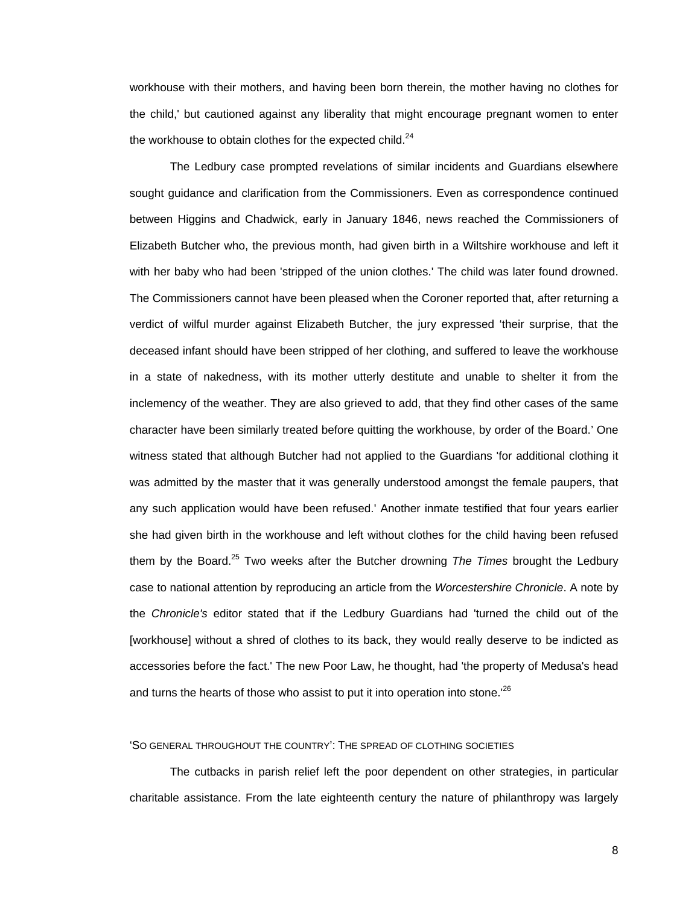workhouse with their mothers, and having been born therein, the mother having no clothes for the child,' but cautioned against any liberality that might encourage pregnant women to enter the workhouse to obtain clothes for the expected child.<sup>24</sup>

The Ledbury case prompted revelations of similar incidents and Guardians elsewhere sought guidance and clarification from the Commissioners. Even as correspondence continued between Higgins and Chadwick, early in January 1846, news reached the Commissioners of Elizabeth Butcher who, the previous month, had given birth in a Wiltshire workhouse and left it with her baby who had been 'stripped of the union clothes.' The child was later found drowned. The Commissioners cannot have been pleased when the Coroner reported that, after returning a verdict of wilful murder against Elizabeth Butcher, the jury expressed 'their surprise, that the deceased infant should have been stripped of her clothing, and suffered to leave the workhouse in a state of nakedness, with its mother utterly destitute and unable to shelter it from the inclemency of the weather. They are also grieved to add, that they find other cases of the same character have been similarly treated before quitting the workhouse, by order of the Board.' One witness stated that although Butcher had not applied to the Guardians 'for additional clothing it was admitted by the master that it was generally understood amongst the female paupers, that any such application would have been refused.' Another inmate testified that four years earlier she had given birth in the workhouse and left without clothes for the child having been refused them by the Board.25 Two weeks after the Butcher drowning *The Times* brought the Ledbury case to national attention by reproducing an article from the *Worcestershire Chronicle*. A note by the *Chronicle's* editor stated that if the Ledbury Guardians had 'turned the child out of the [workhouse] without a shred of clothes to its back, they would really deserve to be indicted as accessories before the fact.' The new Poor Law, he thought, had 'the property of Medusa's head and turns the hearts of those who assist to put it into operation into stone.<sup>26</sup>

## 'SO GENERAL THROUGHOUT THE COUNTRY': THE SPREAD OF CLOTHING SOCIETIES

The cutbacks in parish relief left the poor dependent on other strategies, in particular charitable assistance. From the late eighteenth century the nature of philanthropy was largely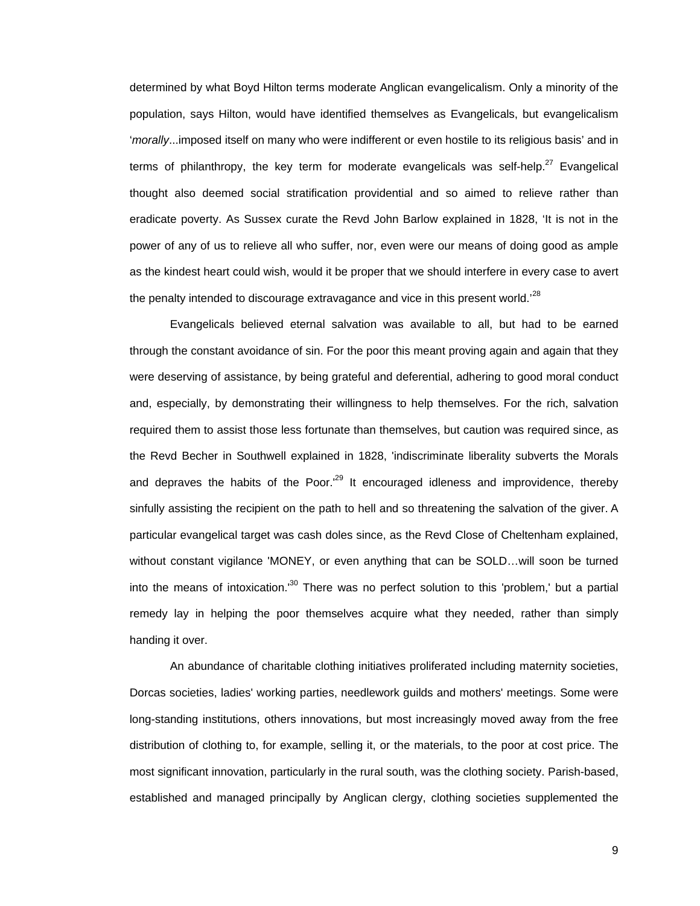determined by what Boyd Hilton terms moderate Anglican evangelicalism. Only a minority of the population, says Hilton, would have identified themselves as Evangelicals, but evangelicalism '*morally*...imposed itself on many who were indifferent or even hostile to its religious basis' and in terms of philanthropy, the key term for moderate evangelicals was self-help.<sup>27</sup> Evangelical thought also deemed social stratification providential and so aimed to relieve rather than eradicate poverty. As Sussex curate the Revd John Barlow explained in 1828, 'It is not in the power of any of us to relieve all who suffer, nor, even were our means of doing good as ample as the kindest heart could wish, would it be proper that we should interfere in every case to avert the penalty intended to discourage extravagance and vice in this present world.<sup>28</sup>

Evangelicals believed eternal salvation was available to all, but had to be earned through the constant avoidance of sin. For the poor this meant proving again and again that they were deserving of assistance, by being grateful and deferential, adhering to good moral conduct and, especially, by demonstrating their willingness to help themselves. For the rich, salvation required them to assist those less fortunate than themselves, but caution was required since, as the Revd Becher in Southwell explained in 1828, 'indiscriminate liberality subverts the Morals and depraves the habits of the Poor.<sup>29</sup> It encouraged idleness and improvidence, thereby sinfully assisting the recipient on the path to hell and so threatening the salvation of the giver. A particular evangelical target was cash doles since, as the Revd Close of Cheltenham explained, without constant vigilance 'MONEY, or even anything that can be SOLD…will soon be turned into the means of intoxication.<sup>30</sup> There was no perfect solution to this 'problem,' but a partial remedy lay in helping the poor themselves acquire what they needed, rather than simply handing it over.

An abundance of charitable clothing initiatives proliferated including maternity societies, Dorcas societies, ladies' working parties, needlework guilds and mothers' meetings. Some were long-standing institutions, others innovations, but most increasingly moved away from the free distribution of clothing to, for example, selling it, or the materials, to the poor at cost price. The most significant innovation, particularly in the rural south, was the clothing society. Parish-based, established and managed principally by Anglican clergy, clothing societies supplemented the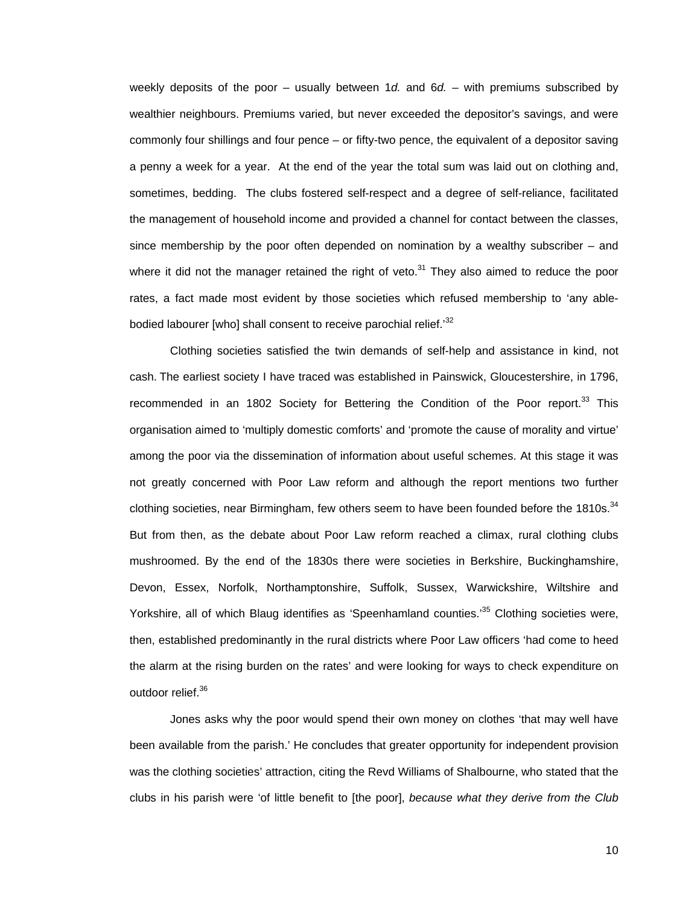weekly deposits of the poor – usually between 1*d.* and 6*d.* – with premiums subscribed by wealthier neighbours. Premiums varied, but never exceeded the depositor's savings, and were commonly four shillings and four pence – or fifty-two pence, the equivalent of a depositor saving a penny a week for a year. At the end of the year the total sum was laid out on clothing and, sometimes, bedding. The clubs fostered self-respect and a degree of self-reliance, facilitated the management of household income and provided a channel for contact between the classes, since membership by the poor often depended on nomination by a wealthy subscriber – and where it did not the manager retained the right of veto. $31$  They also aimed to reduce the poor rates, a fact made most evident by those societies which refused membership to 'any ablebodied labourer [who] shall consent to receive parochial relief.<sup>32</sup>

Clothing societies satisfied the twin demands of self-help and assistance in kind, not cash. The earliest society I have traced was established in Painswick, Gloucestershire, in 1796, recommended in an 1802 Society for Bettering the Condition of the Poor report.<sup>33</sup> This organisation aimed to 'multiply domestic comforts' and 'promote the cause of morality and virtue' among the poor via the dissemination of information about useful schemes. At this stage it was not greatly concerned with Poor Law reform and although the report mentions two further clothing societies, near Birmingham, few others seem to have been founded before the 1810s.<sup>34</sup> But from then, as the debate about Poor Law reform reached a climax, rural clothing clubs mushroomed. By the end of the 1830s there were societies in Berkshire, Buckinghamshire, Devon, Essex, Norfolk, Northamptonshire, Suffolk, Sussex, Warwickshire, Wiltshire and Yorkshire, all of which Blaug identifies as 'Speenhamland counties.<sup>35</sup> Clothing societies were, then, established predominantly in the rural districts where Poor Law officers 'had come to heed the alarm at the rising burden on the rates' and were looking for ways to check expenditure on outdoor relief.<sup>36</sup>

Jones asks why the poor would spend their own money on clothes 'that may well have been available from the parish.' He concludes that greater opportunity for independent provision was the clothing societies' attraction, citing the Revd Williams of Shalbourne, who stated that the clubs in his parish were 'of little benefit to [the poor], *because what they derive from the Club*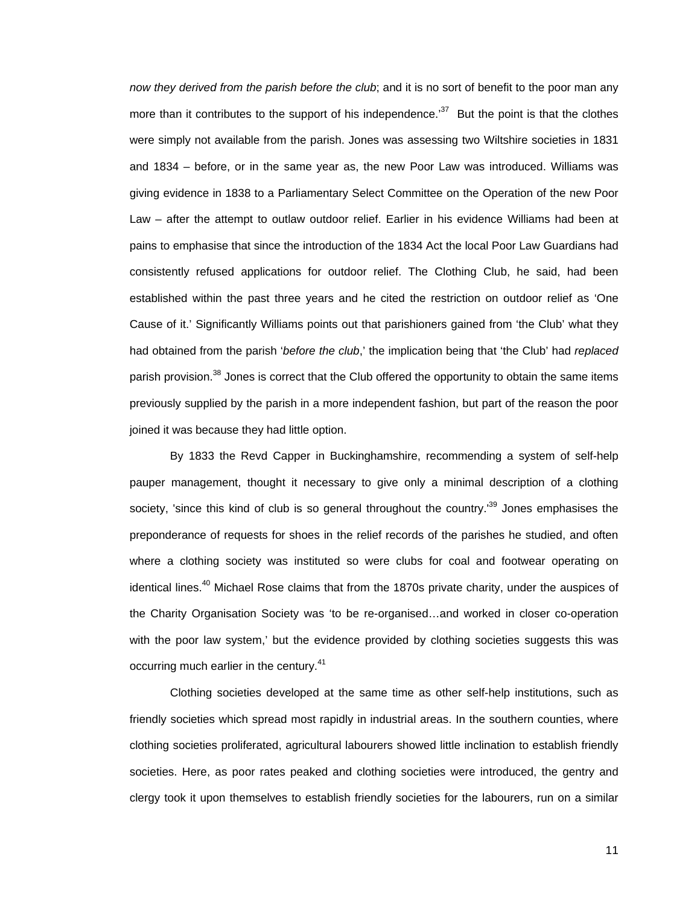*now they derived from the parish before the club*; and it is no sort of benefit to the poor man any more than it contributes to the support of his independence.<sup>37</sup> But the point is that the clothes were simply not available from the parish. Jones was assessing two Wiltshire societies in 1831 and 1834 – before, or in the same year as, the new Poor Law was introduced. Williams was giving evidence in 1838 to a Parliamentary Select Committee on the Operation of the new Poor Law – after the attempt to outlaw outdoor relief. Earlier in his evidence Williams had been at pains to emphasise that since the introduction of the 1834 Act the local Poor Law Guardians had consistently refused applications for outdoor relief. The Clothing Club, he said, had been established within the past three years and he cited the restriction on outdoor relief as 'One Cause of it.' Significantly Williams points out that parishioners gained from 'the Club' what they had obtained from the parish '*before the club*,' the implication being that 'the Club' had *replaced* parish provision.<sup>38</sup> Jones is correct that the Club offered the opportunity to obtain the same items previously supplied by the parish in a more independent fashion, but part of the reason the poor joined it was because they had little option.

By 1833 the Revd Capper in Buckinghamshire, recommending a system of self-help pauper management, thought it necessary to give only a minimal description of a clothing society, 'since this kind of club is so general throughout the country.<sup>39</sup> Jones emphasises the preponderance of requests for shoes in the relief records of the parishes he studied, and often where a clothing society was instituted so were clubs for coal and footwear operating on identical lines.<sup>40</sup> Michael Rose claims that from the 1870s private charity, under the auspices of the Charity Organisation Society was 'to be re-organised…and worked in closer co-operation with the poor law system,' but the evidence provided by clothing societies suggests this was occurring much earlier in the century.<sup>41</sup>

Clothing societies developed at the same time as other self-help institutions, such as friendly societies which spread most rapidly in industrial areas. In the southern counties, where clothing societies proliferated, agricultural labourers showed little inclination to establish friendly societies. Here, as poor rates peaked and clothing societies were introduced, the gentry and clergy took it upon themselves to establish friendly societies for the labourers, run on a similar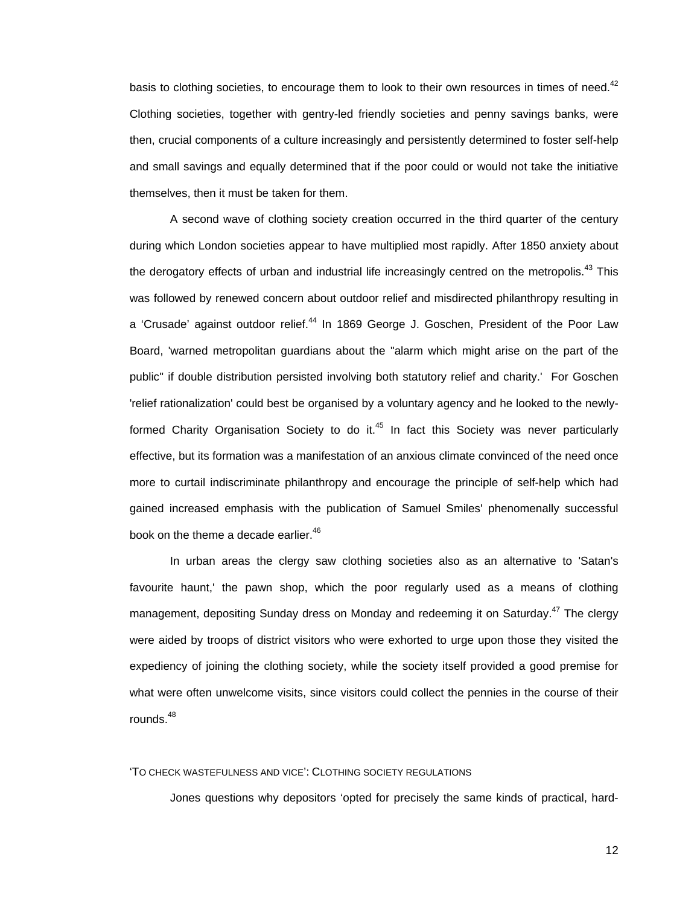basis to clothing societies, to encourage them to look to their own resources in times of need.<sup>42</sup> Clothing societies, together with gentry-led friendly societies and penny savings banks, were then, crucial components of a culture increasingly and persistently determined to foster self-help and small savings and equally determined that if the poor could or would not take the initiative themselves, then it must be taken for them.

A second wave of clothing society creation occurred in the third quarter of the century during which London societies appear to have multiplied most rapidly. After 1850 anxiety about the derogatory effects of urban and industrial life increasingly centred on the metropolis.<sup>43</sup> This was followed by renewed concern about outdoor relief and misdirected philanthropy resulting in a 'Crusade' against outdoor relief.<sup>44</sup> In 1869 George J. Goschen, President of the Poor Law Board, 'warned metropolitan guardians about the "alarm which might arise on the part of the public" if double distribution persisted involving both statutory relief and charity.' For Goschen 'relief rationalization' could best be organised by a voluntary agency and he looked to the newlyformed Charity Organisation Society to do it. $45$  In fact this Society was never particularly effective, but its formation was a manifestation of an anxious climate convinced of the need once more to curtail indiscriminate philanthropy and encourage the principle of self-help which had gained increased emphasis with the publication of Samuel Smiles' phenomenally successful book on the theme a decade earlier.<sup>46</sup>

In urban areas the clergy saw clothing societies also as an alternative to 'Satan's favourite haunt,' the pawn shop, which the poor regularly used as a means of clothing management, depositing Sunday dress on Monday and redeeming it on Saturday.<sup>47</sup> The clergy were aided by troops of district visitors who were exhorted to urge upon those they visited the expediency of joining the clothing society, while the society itself provided a good premise for what were often unwelcome visits, since visitors could collect the pennies in the course of their rounds. $48$ 

### 'TO CHECK WASTEFULNESS AND VICE': CLOTHING SOCIETY REGULATIONS

Jones questions why depositors 'opted for precisely the same kinds of practical, hard-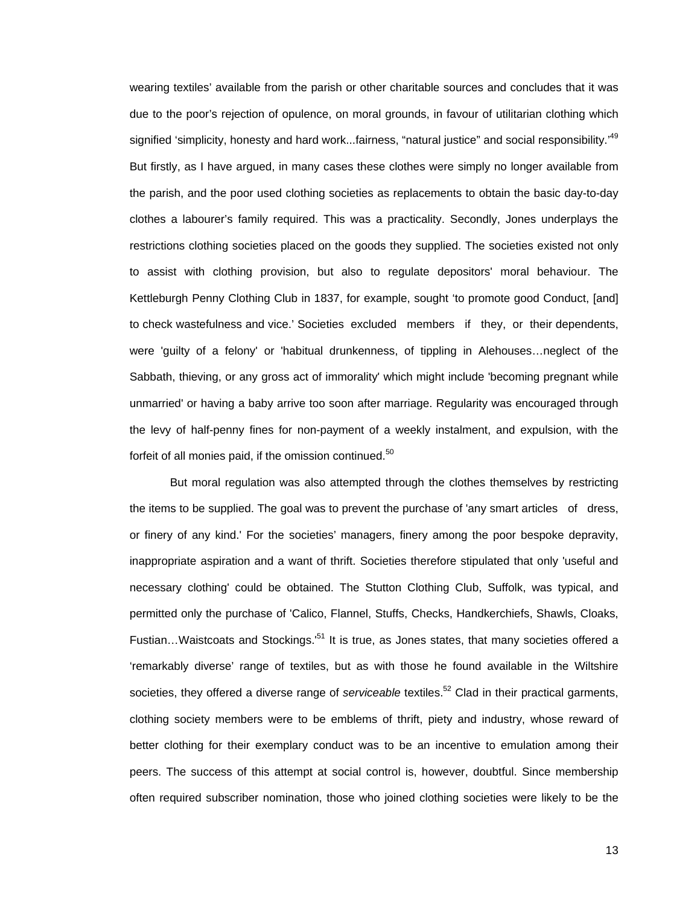wearing textiles' available from the parish or other charitable sources and concludes that it was due to the poor's rejection of opulence, on moral grounds, in favour of utilitarian clothing which signified 'simplicity, honesty and hard work...fairness, "natural justice" and social responsibility."<sup>49</sup> But firstly, as I have argued, in many cases these clothes were simply no longer available from the parish, and the poor used clothing societies as replacements to obtain the basic day-to-day clothes a labourer's family required. This was a practicality. Secondly, Jones underplays the restrictions clothing societies placed on the goods they supplied. The societies existed not only to assist with clothing provision, but also to regulate depositors' moral behaviour. The Kettleburgh Penny Clothing Club in 1837, for example, sought 'to promote good Conduct, [and] to check wastefulness and vice.' Societies excluded members if they, or their dependents, were 'guilty of a felony' or 'habitual drunkenness, of tippling in Alehouses…neglect of the Sabbath, thieving, or any gross act of immorality' which might include 'becoming pregnant while unmarried' or having a baby arrive too soon after marriage. Regularity was encouraged through the levy of half-penny fines for non-payment of a weekly instalment, and expulsion, with the forfeit of all monies paid, if the omission continued. $50$ 

But moral regulation was also attempted through the clothes themselves by restricting the items to be supplied. The goal was to prevent the purchase of 'any smart articles of dress, or finery of any kind.' For the societies' managers, finery among the poor bespoke depravity, inappropriate aspiration and a want of thrift. Societies therefore stipulated that only 'useful and necessary clothing' could be obtained. The Stutton Clothing Club, Suffolk, was typical, and permitted only the purchase of 'Calico, Flannel, Stuffs, Checks, Handkerchiefs, Shawls, Cloaks, Fustian...Waistcoats and Stockings.<sup>51</sup> It is true, as Jones states, that many societies offered a 'remarkably diverse' range of textiles, but as with those he found available in the Wiltshire societies, they offered a diverse range of *serviceable* textiles.<sup>52</sup> Clad in their practical garments, clothing society members were to be emblems of thrift, piety and industry, whose reward of better clothing for their exemplary conduct was to be an incentive to emulation among their peers. The success of this attempt at social control is, however, doubtful. Since membership often required subscriber nomination, those who joined clothing societies were likely to be the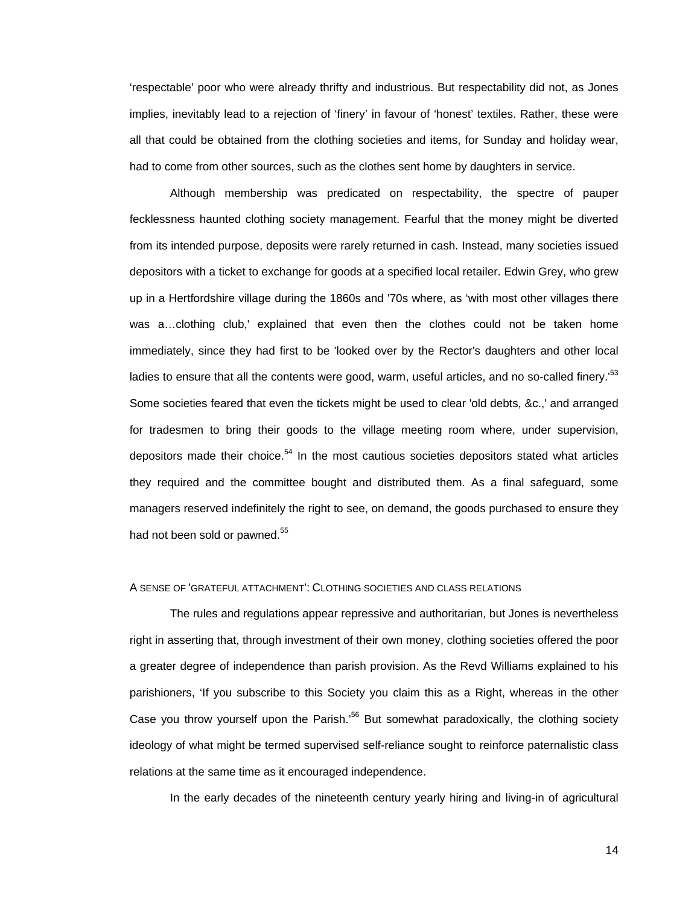'respectable' poor who were already thrifty and industrious. But respectability did not, as Jones implies, inevitably lead to a rejection of 'finery' in favour of 'honest' textiles. Rather, these were all that could be obtained from the clothing societies and items, for Sunday and holiday wear, had to come from other sources, such as the clothes sent home by daughters in service.

Although membership was predicated on respectability, the spectre of pauper fecklessness haunted clothing society management. Fearful that the money might be diverted from its intended purpose, deposits were rarely returned in cash. Instead, many societies issued depositors with a ticket to exchange for goods at a specified local retailer. Edwin Grey, who grew up in a Hertfordshire village during the 1860s and '70s where, as 'with most other villages there was a…clothing club,' explained that even then the clothes could not be taken home immediately, since they had first to be 'looked over by the Rector's daughters and other local ladies to ensure that all the contents were good, warm, useful articles, and no so-called finery.<sup>53</sup> Some societies feared that even the tickets might be used to clear 'old debts, &c.,' and arranged for tradesmen to bring their goods to the village meeting room where, under supervision, depositors made their choice.<sup>54</sup> In the most cautious societies depositors stated what articles they required and the committee bought and distributed them. As a final safeguard, some managers reserved indefinitely the right to see, on demand, the goods purchased to ensure they had not been sold or pawned.<sup>55</sup>

## A SENSE OF 'GRATEFUL ATTACHMENT': CLOTHING SOCIETIES AND CLASS RELATIONS

The rules and regulations appear repressive and authoritarian, but Jones is nevertheless right in asserting that, through investment of their own money, clothing societies offered the poor a greater degree of independence than parish provision. As the Revd Williams explained to his parishioners, 'If you subscribe to this Society you claim this as a Right, whereas in the other Case you throw yourself upon the Parish.<sup>56</sup> But somewhat paradoxically, the clothing society ideology of what might be termed supervised self-reliance sought to reinforce paternalistic class relations at the same time as it encouraged independence.

In the early decades of the nineteenth century yearly hiring and living-in of agricultural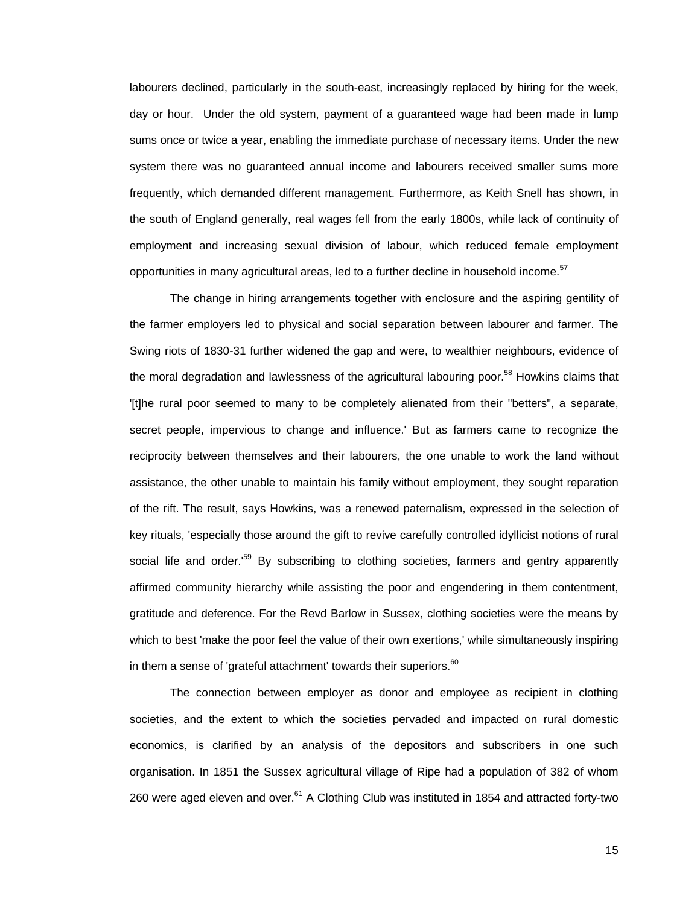labourers declined, particularly in the south-east, increasingly replaced by hiring for the week, day or hour. Under the old system, payment of a guaranteed wage had been made in lump sums once or twice a year, enabling the immediate purchase of necessary items. Under the new system there was no guaranteed annual income and labourers received smaller sums more frequently, which demanded different management. Furthermore, as Keith Snell has shown, in the south of England generally, real wages fell from the early 1800s, while lack of continuity of employment and increasing sexual division of labour, which reduced female employment opportunities in many agricultural areas, led to a further decline in household income.<sup>57</sup>

The change in hiring arrangements together with enclosure and the aspiring gentility of the farmer employers led to physical and social separation between labourer and farmer. The Swing riots of 1830-31 further widened the gap and were, to wealthier neighbours, evidence of the moral degradation and lawlessness of the agricultural labouring poor.<sup>58</sup> Howkins claims that '[t]he rural poor seemed to many to be completely alienated from their "betters", a separate, secret people, impervious to change and influence.' But as farmers came to recognize the reciprocity between themselves and their labourers, the one unable to work the land without assistance, the other unable to maintain his family without employment, they sought reparation of the rift. The result, says Howkins, was a renewed paternalism, expressed in the selection of key rituals, 'especially those around the gift to revive carefully controlled idyllicist notions of rural social life and order.<sup>59</sup> By subscribing to clothing societies, farmers and gentry apparently affirmed community hierarchy while assisting the poor and engendering in them contentment, gratitude and deference. For the Revd Barlow in Sussex, clothing societies were the means by which to best 'make the poor feel the value of their own exertions,' while simultaneously inspiring in them a sense of 'grateful attachment' towards their superiors. $60$ 

The connection between employer as donor and employee as recipient in clothing societies, and the extent to which the societies pervaded and impacted on rural domestic economics, is clarified by an analysis of the depositors and subscribers in one such organisation. In 1851 the Sussex agricultural village of Ripe had a population of 382 of whom 260 were aged eleven and over.<sup>61</sup> A Clothing Club was instituted in 1854 and attracted forty-two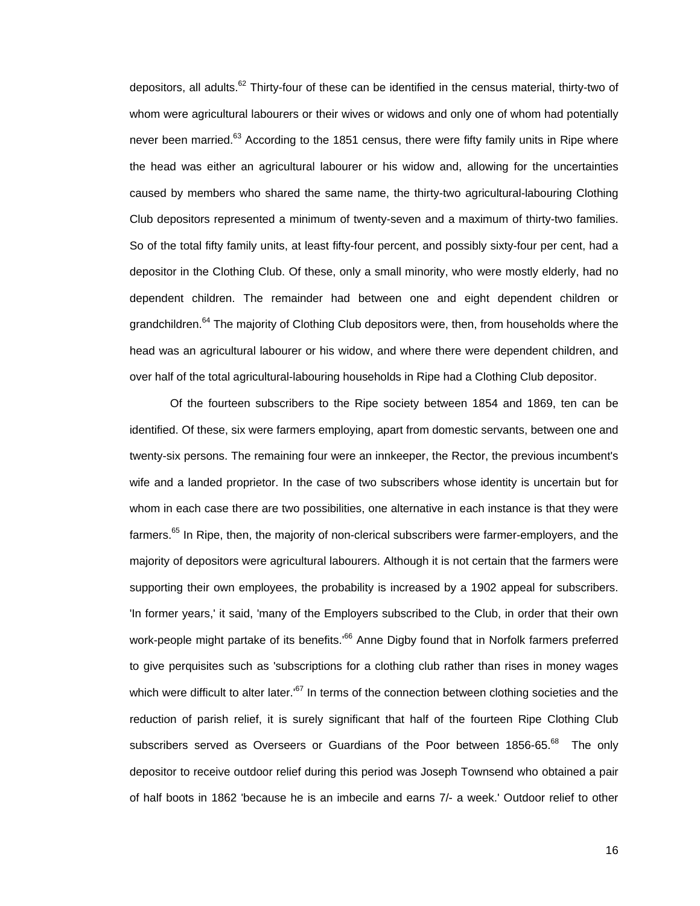depositors, all adults.<sup>62</sup> Thirty-four of these can be identified in the census material, thirty-two of whom were agricultural labourers or their wives or widows and only one of whom had potentially never been married.<sup>63</sup> According to the 1851 census, there were fifty family units in Ripe where the head was either an agricultural labourer or his widow and, allowing for the uncertainties caused by members who shared the same name, the thirty-two agricultural-labouring Clothing Club depositors represented a minimum of twenty-seven and a maximum of thirty-two families. So of the total fifty family units, at least fifty-four percent, and possibly sixty-four per cent, had a depositor in the Clothing Club. Of these, only a small minority, who were mostly elderly, had no dependent children. The remainder had between one and eight dependent children or grandchildren.<sup>64</sup> The majority of Clothing Club depositors were, then, from households where the head was an agricultural labourer or his widow, and where there were dependent children, and over half of the total agricultural-labouring households in Ripe had a Clothing Club depositor.

Of the fourteen subscribers to the Ripe society between 1854 and 1869, ten can be identified. Of these, six were farmers employing, apart from domestic servants, between one and twenty-six persons. The remaining four were an innkeeper, the Rector, the previous incumbent's wife and a landed proprietor. In the case of two subscribers whose identity is uncertain but for whom in each case there are two possibilities, one alternative in each instance is that they were farmers.<sup>65</sup> In Ripe, then, the majority of non-clerical subscribers were farmer-employers, and the majority of depositors were agricultural labourers. Although it is not certain that the farmers were supporting their own employees, the probability is increased by a 1902 appeal for subscribers. 'In former years,' it said, 'many of the Employers subscribed to the Club, in order that their own work-people might partake of its benefits.<sup>66</sup> Anne Digby found that in Norfolk farmers preferred to give perquisites such as 'subscriptions for a clothing club rather than rises in money wages which were difficult to alter later.<sup>67</sup> In terms of the connection between clothing societies and the reduction of parish relief, it is surely significant that half of the fourteen Ripe Clothing Club subscribers served as Overseers or Guardians of the Poor between 1856-65.<sup>68</sup> The only depositor to receive outdoor relief during this period was Joseph Townsend who obtained a pair of half boots in 1862 'because he is an imbecile and earns 7/- a week.' Outdoor relief to other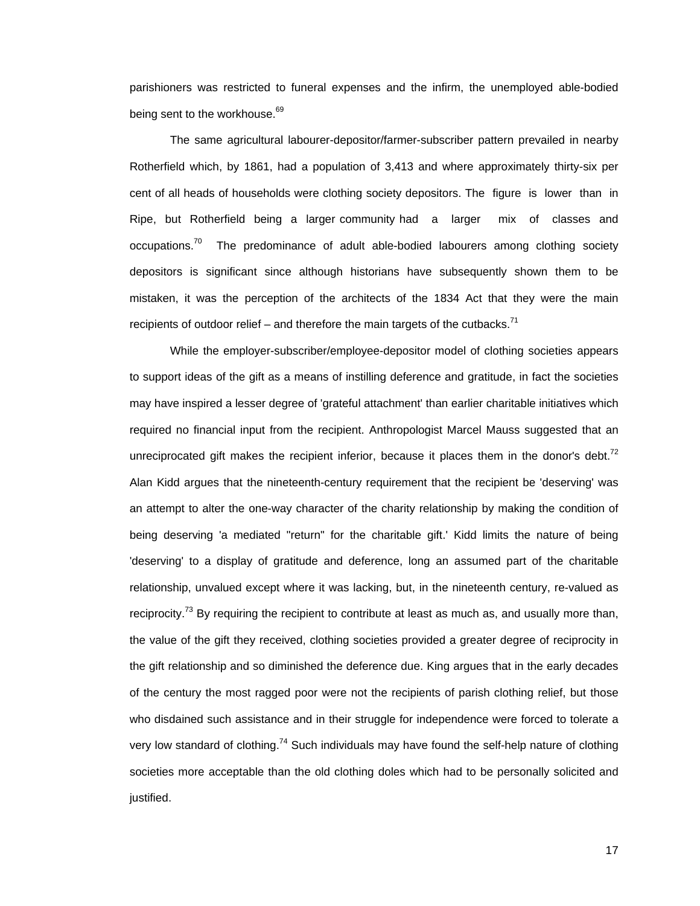parishioners was restricted to funeral expenses and the infirm, the unemployed able-bodied being sent to the workhouse.<sup>69</sup>

The same agricultural labourer-depositor/farmer-subscriber pattern prevailed in nearby Rotherfield which, by 1861, had a population of 3,413 and where approximately thirty-six per cent of all heads of households were clothing society depositors. The figure is lower than in Ripe, but Rotherfield being a larger community had a larger mix of classes and  $occupations.<sup>70</sup>$  The predominance of adult able-bodied labourers among clothing society depositors is significant since although historians have subsequently shown them to be mistaken, it was the perception of the architects of the 1834 Act that they were the main recipients of outdoor relief – and therefore the main targets of the cutbacks.<sup>71</sup>

While the employer-subscriber/employee-depositor model of clothing societies appears to support ideas of the gift as a means of instilling deference and gratitude, in fact the societies may have inspired a lesser degree of 'grateful attachment' than earlier charitable initiatives which required no financial input from the recipient. Anthropologist Marcel Mauss suggested that an unreciprocated gift makes the recipient inferior, because it places them in the donor's debt.<sup>72</sup> Alan Kidd argues that the nineteenth-century requirement that the recipient be 'deserving' was an attempt to alter the one-way character of the charity relationship by making the condition of being deserving 'a mediated "return" for the charitable gift.' Kidd limits the nature of being 'deserving' to a display of gratitude and deference, long an assumed part of the charitable relationship, unvalued except where it was lacking, but, in the nineteenth century, re-valued as reciprocity.<sup>73</sup> By requiring the recipient to contribute at least as much as, and usually more than, the value of the gift they received, clothing societies provided a greater degree of reciprocity in the gift relationship and so diminished the deference due. King argues that in the early decades of the century the most ragged poor were not the recipients of parish clothing relief, but those who disdained such assistance and in their struggle for independence were forced to tolerate a very low standard of clothing.<sup>74</sup> Such individuals may have found the self-help nature of clothing societies more acceptable than the old clothing doles which had to be personally solicited and justified.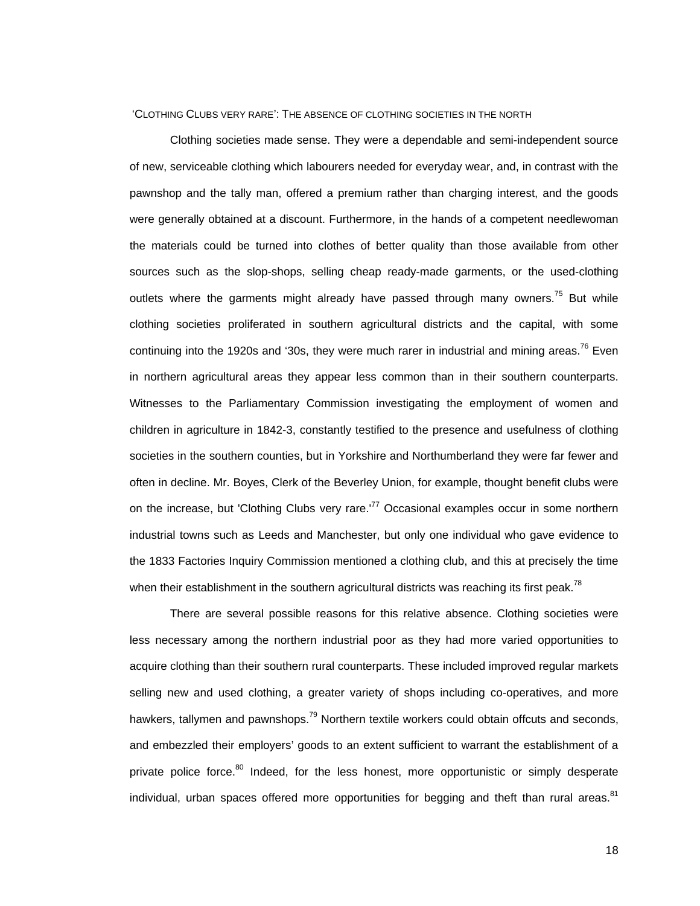'CLOTHING CLUBS VERY RARE': THE ABSENCE OF CLOTHING SOCIETIES IN THE NORTH

Clothing societies made sense. They were a dependable and semi-independent source of new, serviceable clothing which labourers needed for everyday wear, and, in contrast with the pawnshop and the tally man, offered a premium rather than charging interest, and the goods were generally obtained at a discount. Furthermore, in the hands of a competent needlewoman the materials could be turned into clothes of better quality than those available from other sources such as the slop-shops, selling cheap ready-made garments, or the used-clothing outlets where the garments might already have passed through many owners.<sup>75</sup> But while clothing societies proliferated in southern agricultural districts and the capital, with some continuing into the 1920s and '30s, they were much rarer in industrial and mining areas.<sup>76</sup> Even in northern agricultural areas they appear less common than in their southern counterparts. Witnesses to the Parliamentary Commission investigating the employment of women and children in agriculture in 1842-3, constantly testified to the presence and usefulness of clothing societies in the southern counties, but in Yorkshire and Northumberland they were far fewer and often in decline. Mr. Boyes, Clerk of the Beverley Union, for example, thought benefit clubs were on the increase, but 'Clothing Clubs very rare.<sup>77</sup> Occasional examples occur in some northern industrial towns such as Leeds and Manchester, but only one individual who gave evidence to the 1833 Factories Inquiry Commission mentioned a clothing club, and this at precisely the time when their establishment in the southern agricultural districts was reaching its first peak.<sup>78</sup>

There are several possible reasons for this relative absence. Clothing societies were less necessary among the northern industrial poor as they had more varied opportunities to acquire clothing than their southern rural counterparts. These included improved regular markets selling new and used clothing, a greater variety of shops including co-operatives, and more hawkers, tallymen and pawnshops.<sup>79</sup> Northern textile workers could obtain offcuts and seconds, and embezzled their employers' goods to an extent sufficient to warrant the establishment of a private police force.<sup>80</sup> Indeed, for the less honest, more opportunistic or simply desperate individual, urban spaces offered more opportunities for begging and theft than rural areas.<sup>81</sup>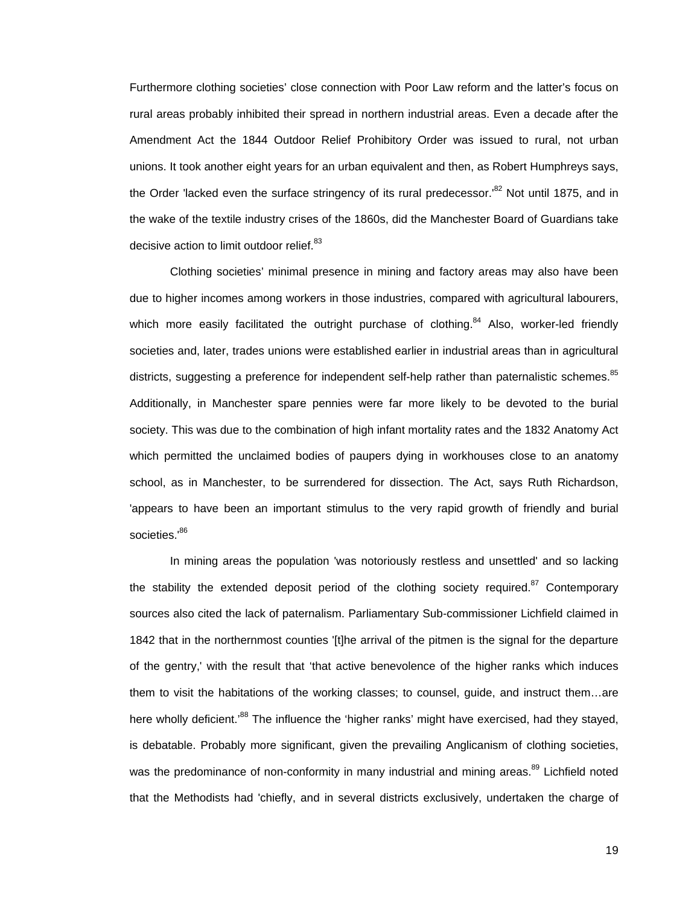Furthermore clothing societies' close connection with Poor Law reform and the latter's focus on rural areas probably inhibited their spread in northern industrial areas. Even a decade after the Amendment Act the 1844 Outdoor Relief Prohibitory Order was issued to rural, not urban unions. It took another eight years for an urban equivalent and then, as Robert Humphreys says, the Order 'lacked even the surface stringency of its rural predecessor.<sup>82</sup> Not until 1875, and in the wake of the textile industry crises of the 1860s, did the Manchester Board of Guardians take decisive action to limit outdoor relief.<sup>83</sup>

Clothing societies' minimal presence in mining and factory areas may also have been due to higher incomes among workers in those industries, compared with agricultural labourers, which more easily facilitated the outright purchase of clothing.<sup>84</sup> Also, worker-led friendly societies and, later, trades unions were established earlier in industrial areas than in agricultural districts, suggesting a preference for independent self-help rather than paternalistic schemes.<sup>85</sup> Additionally, in Manchester spare pennies were far more likely to be devoted to the burial society. This was due to the combination of high infant mortality rates and the 1832 Anatomy Act which permitted the unclaimed bodies of paupers dying in workhouses close to an anatomy school, as in Manchester, to be surrendered for dissection. The Act, says Ruth Richardson, 'appears to have been an important stimulus to the very rapid growth of friendly and burial societies.<sup>86</sup>

In mining areas the population 'was notoriously restless and unsettled' and so lacking the stability the extended deposit period of the clothing society required. $87$  Contemporary sources also cited the lack of paternalism. Parliamentary Sub-commissioner Lichfield claimed in 1842 that in the northernmost counties '[t]he arrival of the pitmen is the signal for the departure of the gentry,' with the result that 'that active benevolence of the higher ranks which induces them to visit the habitations of the working classes; to counsel, guide, and instruct them…are here wholly deficient.<sup>88</sup> The influence the 'higher ranks' might have exercised, had they stayed, is debatable. Probably more significant, given the prevailing Anglicanism of clothing societies, was the predominance of non-conformity in many industrial and mining areas.<sup>89</sup> Lichfield noted that the Methodists had 'chiefly, and in several districts exclusively, undertaken the charge of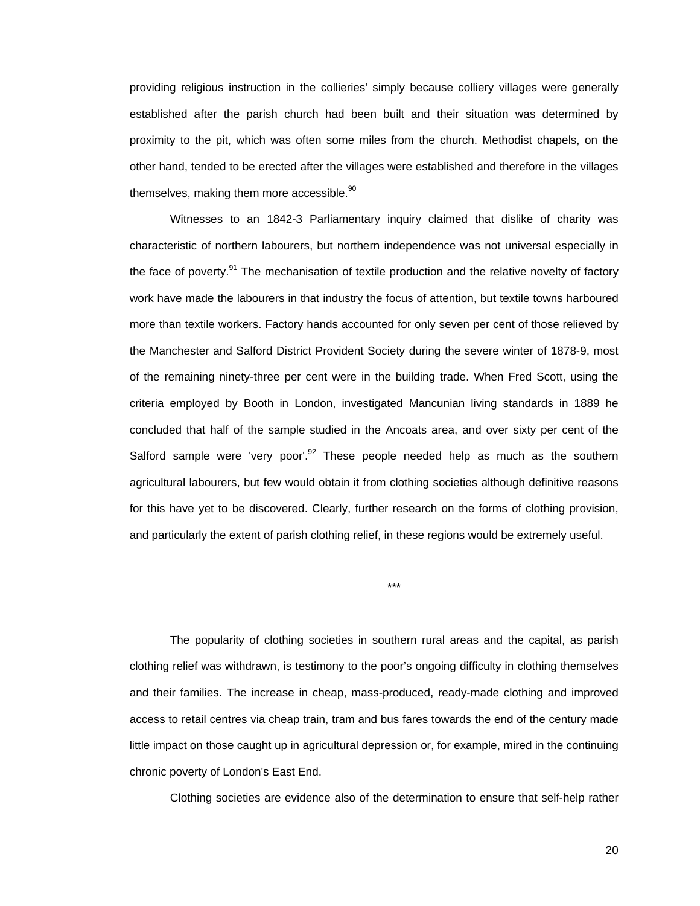providing religious instruction in the collieries' simply because colliery villages were generally established after the parish church had been built and their situation was determined by proximity to the pit, which was often some miles from the church. Methodist chapels, on the other hand, tended to be erected after the villages were established and therefore in the villages themselves, making them more accessible.<sup>90</sup>

Witnesses to an 1842-3 Parliamentary inquiry claimed that dislike of charity was characteristic of northern labourers, but northern independence was not universal especially in the face of poverty.<sup>91</sup> The mechanisation of textile production and the relative novelty of factory work have made the labourers in that industry the focus of attention, but textile towns harboured more than textile workers. Factory hands accounted for only seven per cent of those relieved by the Manchester and Salford District Provident Society during the severe winter of 1878-9, most of the remaining ninety-three per cent were in the building trade. When Fred Scott, using the criteria employed by Booth in London, investigated Mancunian living standards in 1889 he concluded that half of the sample studied in the Ancoats area, and over sixty per cent of the Salford sample were 'very poor'. $92$  These people needed help as much as the southern agricultural labourers, but few would obtain it from clothing societies although definitive reasons for this have yet to be discovered. Clearly, further research on the forms of clothing provision, and particularly the extent of parish clothing relief, in these regions would be extremely useful.

\*\*\*

The popularity of clothing societies in southern rural areas and the capital, as parish clothing relief was withdrawn, is testimony to the poor's ongoing difficulty in clothing themselves and their families. The increase in cheap, mass-produced, ready-made clothing and improved access to retail centres via cheap train, tram and bus fares towards the end of the century made little impact on those caught up in agricultural depression or, for example, mired in the continuing chronic poverty of London's East End.

Clothing societies are evidence also of the determination to ensure that self-help rather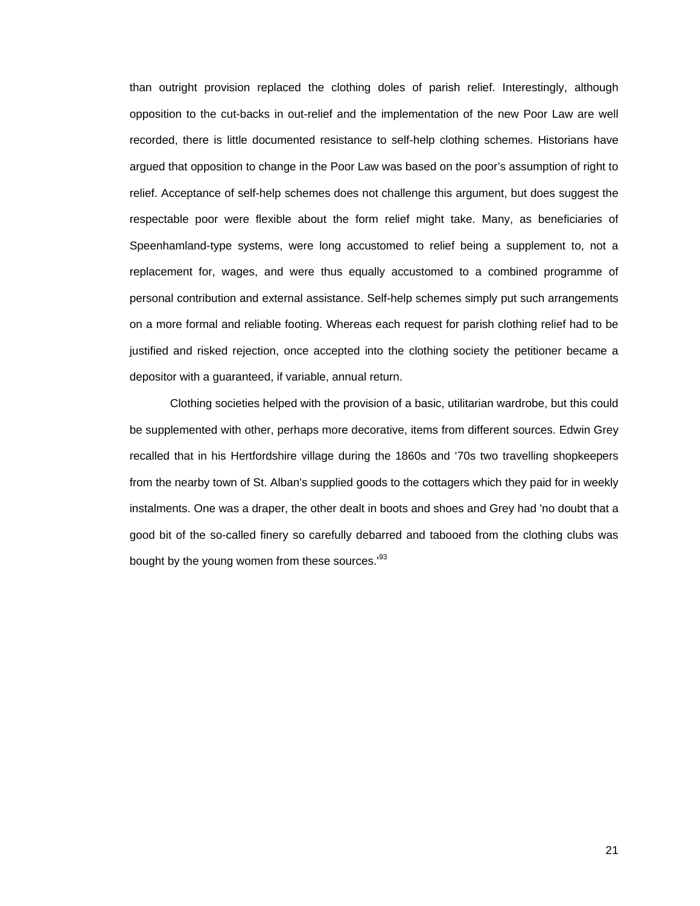than outright provision replaced the clothing doles of parish relief. Interestingly, although opposition to the cut-backs in out-relief and the implementation of the new Poor Law are well recorded, there is little documented resistance to self-help clothing schemes. Historians have argued that opposition to change in the Poor Law was based on the poor's assumption of right to relief. Acceptance of self-help schemes does not challenge this argument, but does suggest the respectable poor were flexible about the form relief might take. Many, as beneficiaries of Speenhamland-type systems, were long accustomed to relief being a supplement to, not a replacement for, wages, and were thus equally accustomed to a combined programme of personal contribution and external assistance. Self-help schemes simply put such arrangements on a more formal and reliable footing. Whereas each request for parish clothing relief had to be justified and risked rejection, once accepted into the clothing society the petitioner became a depositor with a guaranteed, if variable, annual return.

Clothing societies helped with the provision of a basic, utilitarian wardrobe, but this could be supplemented with other, perhaps more decorative, items from different sources. Edwin Grey recalled that in his Hertfordshire village during the 1860s and '70s two travelling shopkeepers from the nearby town of St. Alban's supplied goods to the cottagers which they paid for in weekly instalments. One was a draper, the other dealt in boots and shoes and Grey had 'no doubt that a good bit of the so-called finery so carefully debarred and tabooed from the clothing clubs was bought by the young women from these sources.<sup>93</sup>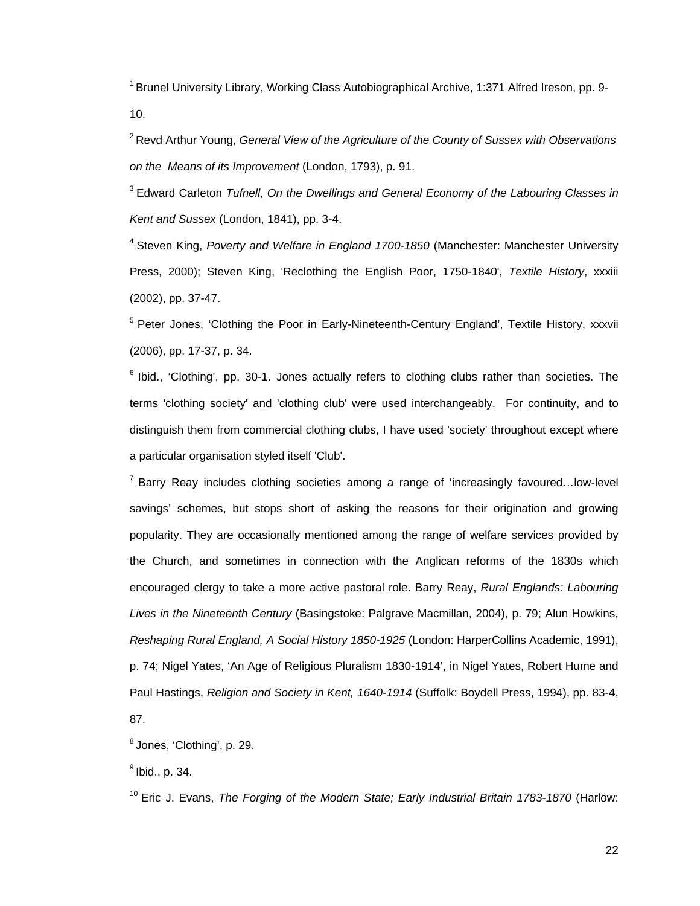$1$  Brunel University Library, Working Class Autobiographical Archive, 1:371 Alfred Ireson, pp. 9-10.

2 Revd Arthur Young, *General View of the Agriculture of the County of Sussex with Observations on the Means of its Improvement* (London, 1793), p. 91.

3 Edward Carleton *Tufnell, On the Dwellings and General Economy of the Labouring Classes in Kent and Sussex* (London, 1841), pp. 3-4.

4 Steven King, *Poverty and Welfare in England 1700-1850* (Manchester: Manchester University Press, 2000); Steven King, 'Reclothing the English Poor, 1750-1840', *Textile History*, xxxiii (2002), pp. 37-47.

<sup>5</sup> Peter Jones, 'Clothing the Poor in Early-Nineteenth-Century England', Textile History, xxxvii (2006), pp. 17-37, p. 34.

 $6$  Ibid., 'Clothing', pp. 30-1. Jones actually refers to clothing clubs rather than societies. The terms 'clothing society' and 'clothing club' were used interchangeably. For continuity, and to distinguish them from commercial clothing clubs, I have used 'society' throughout except where a particular organisation styled itself 'Club'.

 $7$  Barry Reay includes clothing societies among a range of 'increasingly favoured... low-level savings' schemes, but stops short of asking the reasons for their origination and growing popularity. They are occasionally mentioned among the range of welfare services provided by the Church, and sometimes in connection with the Anglican reforms of the 1830s which encouraged clergy to take a more active pastoral role. Barry Reay, *Rural Englands: Labouring Lives in the Nineteenth Century* (Basingstoke: Palgrave Macmillan, 2004), p. 79; Alun Howkins, *Reshaping Rural England, A Social History 1850-1925* (London: HarperCollins Academic, 1991), p. 74; Nigel Yates, 'An Age of Religious Pluralism 1830-1914', in Nigel Yates, Robert Hume and Paul Hastings, *Religion and Society in Kent, 1640-1914* (Suffolk: Boydell Press, 1994), pp. 83-4, 87.

8 Jones, 'Clothing', p. 29.

 $<sup>9</sup>$  Ibid., p. 34.</sup>

10 Eric J. Evans, *The Forging of the Modern State; Early Industrial Britain 1783-1870* (Harlow: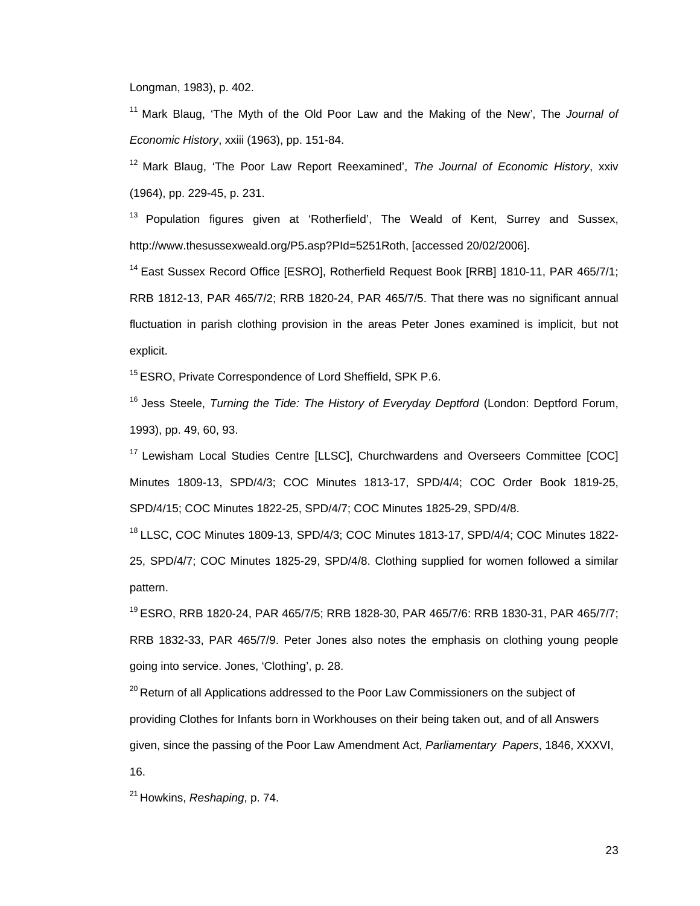Longman, 1983), p. 402.

<sup>11</sup> Mark Blaug, 'The Myth of the Old Poor Law and the Making of the New', The *Journal of Economic History*, xxiii (1963), pp. 151-84.

12 Mark Blaug, 'The Poor Law Report Reexamined', *The Journal of Economic History*, xxiv (1964), pp. 229-45, p. 231.

<sup>13</sup> Population figures given at 'Rotherfield', The Weald of Kent, Surrey and Sussex, http://www.thesussexweald.org/P5.asp?PId=5251Roth, [accessed 20/02/2006].

<sup>14</sup> East Sussex Record Office [ESRO], Rotherfield Request Book [RRB] 1810-11, PAR 465/7/1; RRB 1812-13, PAR 465/7/2; RRB 1820-24, PAR 465/7/5. That there was no significant annual fluctuation in parish clothing provision in the areas Peter Jones examined is implicit, but not explicit.

<sup>15</sup> ESRO, Private Correspondence of Lord Sheffield, SPK P.6.

16 Jess Steele, *Turning the Tide: The History of Everyday Deptford* (London: Deptford Forum, 1993), pp. 49, 60, 93.

<sup>17</sup> Lewisham Local Studies Centre [LLSC], Churchwardens and Overseers Committee [COC] Minutes 1809-13, SPD/4/3; COC Minutes 1813-17, SPD/4/4; COC Order Book 1819-25, SPD/4/15; COC Minutes 1822-25, SPD/4/7; COC Minutes 1825-29, SPD/4/8.

<sup>18</sup> LLSC, COC Minutes 1809-13, SPD/4/3; COC Minutes 1813-17, SPD/4/4; COC Minutes 1822-25, SPD/4/7; COC Minutes 1825-29, SPD/4/8. Clothing supplied for women followed a similar pattern.

19 ESRO, RRB 1820-24, PAR 465/7/5; RRB 1828-30, PAR 465/7/6: RRB 1830-31, PAR 465/7/7; RRB 1832-33, PAR 465/7/9. Peter Jones also notes the emphasis on clothing young people going into service. Jones, 'Clothing', p. 28.

 $20$  Return of all Applications addressed to the Poor Law Commissioners on the subject of providing Clothes for Infants born in Workhouses on their being taken out, and of all Answers given, since the passing of the Poor Law Amendment Act, *Parliamentary Papers*, 1846, XXXVI, 16.

21 Howkins, *Reshaping*, p. 74.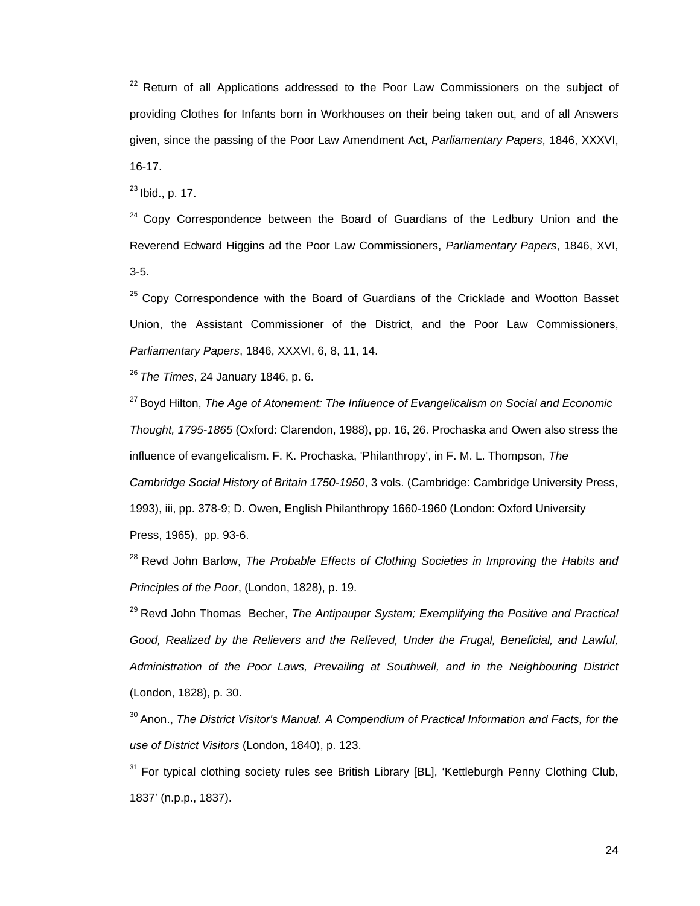$22$  Return of all Applications addressed to the Poor Law Commissioners on the subject of providing Clothes for Infants born in Workhouses on their being taken out, and of all Answers given, since the passing of the Poor Law Amendment Act, *Parliamentary Papers*, 1846, XXXVI, 16-17.

 $23$  Ibid., p. 17.

 $24$  Copy Correspondence between the Board of Guardians of the Ledbury Union and the Reverend Edward Higgins ad the Poor Law Commissioners, *Parliamentary Papers*, 1846, XVI, 3-5.

 $25$  Copy Correspondence with the Board of Guardians of the Cricklade and Wootton Basset Union, the Assistant Commissioner of the District, and the Poor Law Commissioners, *Parliamentary Papers*, 1846, XXXVI, 6, 8, 11, 14.

<sup>26</sup>*The Times*, 24 January 1846, p. 6.

27 Boyd Hilton, *The Age of Atonement: The Influence of Evangelicalism on Social and Economic Thought, 1795-1865* (Oxford: Clarendon, 1988), pp. 16, 26. Prochaska and Owen also stress the influence of evangelicalism. F. K. Prochaska, 'Philanthropy', in F. M. L. Thompson, *The Cambridge Social History of Britain 1750-1950*, 3 vols. (Cambridge: Cambridge University Press, 1993), iii, pp. 378-9; D. Owen, English Philanthropy 1660-1960 (London: Oxford University Press, 1965), pp. 93-6.

28 Revd John Barlow, *The Probable Effects of Clothing Societies in Improving the Habits and Principles of the Poor*, (London, 1828), p. 19.

29 Revd John Thomas Becher, *The Antipauper System; Exemplifying the Positive and Practical Good, Realized by the Relievers and the Relieved, Under the Frugal, Beneficial, and Lawful, Administration of the Poor Laws, Prevailing at Southwell, and in the Neighbouring District* (London, 1828), p. 30.

30 Anon., *The District Visitor's Manual. A Compendium of Practical Information and Facts, for the use of District Visitors* (London, 1840), p. 123.

 $31$  For typical clothing society rules see British Library [BL], 'Kettleburgh Penny Clothing Club, 1837' (n.p.p., 1837).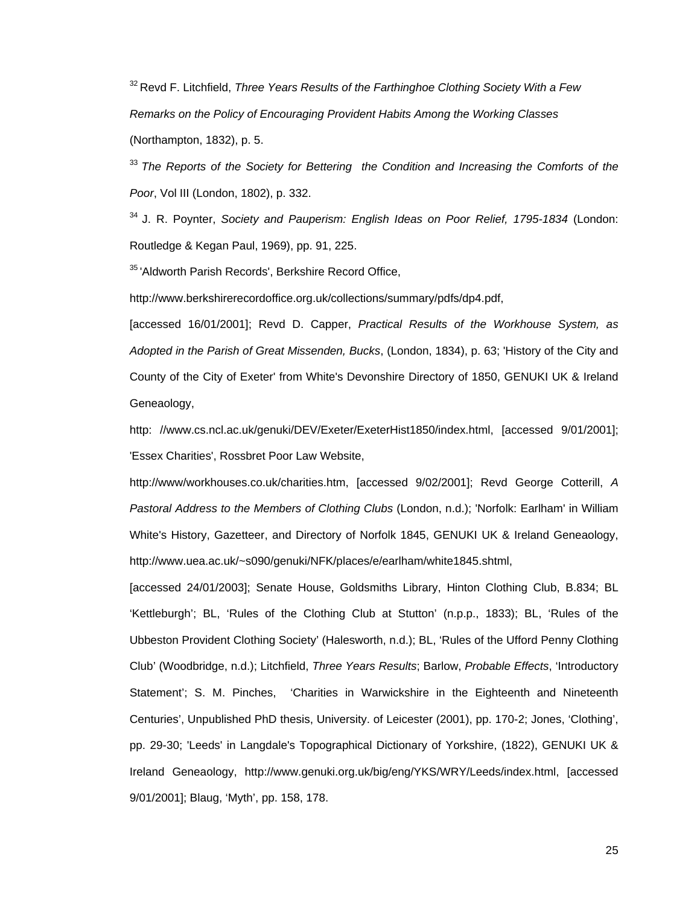32 Revd F. Litchfield, *Three Years Results of the Farthinghoe Clothing Society With a Few Remarks on the Policy of Encouraging Provident Habits Among the Working Classes* (Northampton, 1832), p. 5.

<sup>33</sup> The Reports of the Society for Bettering the Condition and Increasing the Comforts of the *Poor*, Vol III (London, 1802), p. 332.

34 J. R. Poynter, *Society and Pauperism: English Ideas on Poor Relief, 1795-1834* (London: Routledge & Kegan Paul, 1969), pp. 91, 225.

<sup>35</sup> 'Aldworth Parish Records', Berkshire Record Office,

http://www.berkshirerecordoffice.org.uk/collections/summary/pdfs/dp4.pdf,

[accessed 16/01/2001]; Revd D. Capper, *Practical Results of the Workhouse System, as Adopted in the Parish of Great Missenden, Bucks*, (London, 1834), p. 63; 'History of the City and County of the City of Exeter' from White's Devonshire Directory of 1850, GENUKI UK & Ireland Geneaology,

http: //www.cs.ncl.ac.uk/genuki/DEV/Exeter/ExeterHist1850/index.html, [accessed 9/01/2001]; 'Essex Charities', Rossbret Poor Law Website,

http://www/workhouses.co.uk/charities.htm, [accessed 9/02/2001]; Revd George Cotterill, *A Pastoral Address to the Members of Clothing Clubs* (London, n.d.); 'Norfolk: Earlham' in William White's History, Gazetteer, and Directory of Norfolk 1845, GENUKI UK & Ireland Geneaology, http://www.uea.ac.uk/~s090/genuki/NFK/places/e/earlham/white1845.shtml,

[accessed 24/01/2003]; Senate House, Goldsmiths Library, Hinton Clothing Club, B.834; BL 'Kettleburgh'; BL, 'Rules of the Clothing Club at Stutton' (n.p.p., 1833); BL, 'Rules of the Ubbeston Provident Clothing Society' (Halesworth, n.d.); BL, 'Rules of the Ufford Penny Clothing Club' (Woodbridge, n.d.); Litchfield, *Three Years Results*; Barlow, *Probable Effects*, 'Introductory Statement'; S. M. Pinches, 'Charities in Warwickshire in the Eighteenth and Nineteenth Centuries', Unpublished PhD thesis, University. of Leicester (2001), pp. 170-2; Jones, 'Clothing', pp. 29-30; 'Leeds' in Langdale's Topographical Dictionary of Yorkshire, (1822), GENUKI UK & Ireland Geneaology, http://www.genuki.org.uk/big/eng/YKS/WRY/Leeds/index.html, [accessed 9/01/2001]; Blaug, 'Myth', pp. 158, 178.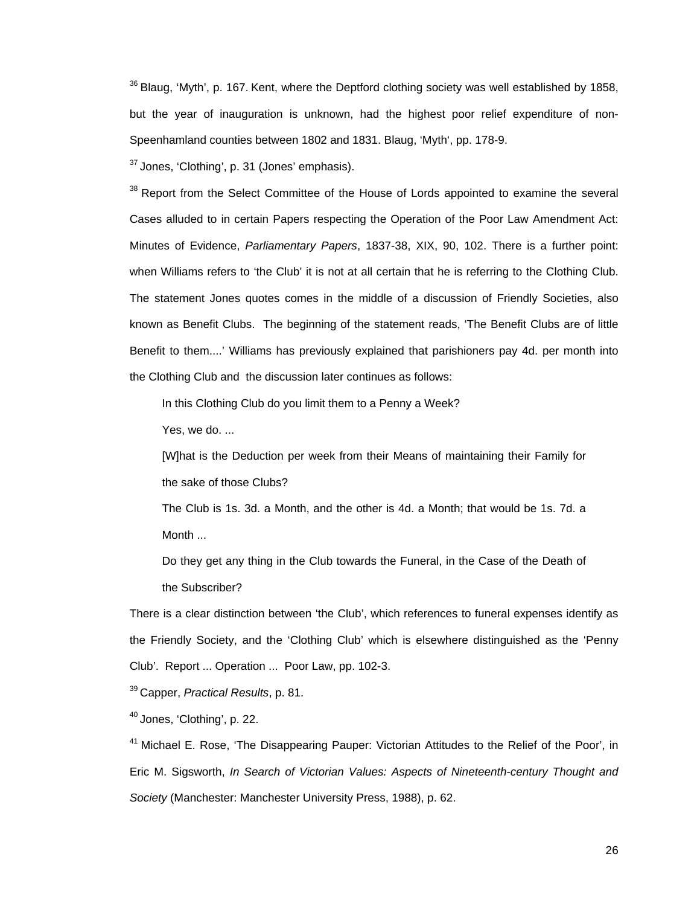$36$  Blaug, 'Myth', p. 167. Kent, where the Deptford clothing society was well established by 1858, but the year of inauguration is unknown, had the highest poor relief expenditure of non-Speenhamland counties between 1802 and 1831. Blaug, 'Myth', pp. 178-9.

 $37$  Jones, 'Clothing', p. 31 (Jones' emphasis).

<sup>38</sup> Report from the Select Committee of the House of Lords appointed to examine the several Cases alluded to in certain Papers respecting the Operation of the Poor Law Amendment Act: Minutes of Evidence, *Parliamentary Papers*, 1837-38, XIX, 90, 102. There is a further point: when Williams refers to 'the Club' it is not at all certain that he is referring to the Clothing Club. The statement Jones quotes comes in the middle of a discussion of Friendly Societies, also known as Benefit Clubs. The beginning of the statement reads, 'The Benefit Clubs are of little Benefit to them....' Williams has previously explained that parishioners pay 4d. per month into the Clothing Club and the discussion later continues as follows:

In this Clothing Club do you limit them to a Penny a Week?

Yes, we do. ...

[W]hat is the Deduction per week from their Means of maintaining their Family for the sake of those Clubs?

The Club is 1s. 3d. a Month, and the other is 4d. a Month; that would be 1s. 7d. a Month ...

Do they get any thing in the Club towards the Funeral, in the Case of the Death of the Subscriber?

There is a clear distinction between 'the Club', which references to funeral expenses identify as the Friendly Society, and the 'Clothing Club' which is elsewhere distinguished as the 'Penny Club'. Report ... Operation ... Poor Law, pp. 102-3.

39 Capper, *Practical Results*, p. 81.

 $40$  Jones, 'Clothing', p. 22.

<sup>41</sup> Michael E. Rose, 'The Disappearing Pauper: Victorian Attitudes to the Relief of the Poor', in Eric M. Sigsworth, *In Search of Victorian Values: Aspects of Nineteenth-century Thought and Society* (Manchester: Manchester University Press, 1988), p. 62.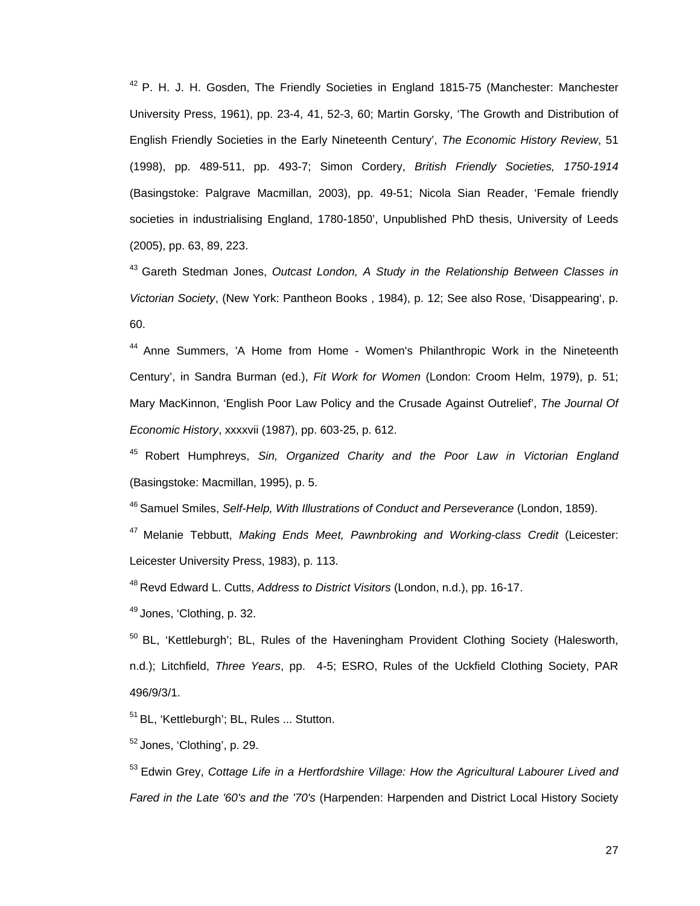$42$  P. H. J. H. Gosden, The Friendly Societies in England 1815-75 (Manchester: Manchester University Press, 1961), pp. 23-4, 41, 52-3, 60; Martin Gorsky, 'The Growth and Distribution of English Friendly Societies in the Early Nineteenth Century', *The Economic History Review*, 51 (1998), pp. 489-511, pp. 493-7; Simon Cordery, *British Friendly Societies, 1750-1914* (Basingstoke: Palgrave Macmillan, 2003), pp. 49-51; Nicola Sian Reader, 'Female friendly societies in industrialising England, 1780-1850', Unpublished PhD thesis, University of Leeds (2005), pp. 63, 89, 223.

43 Gareth Stedman Jones, *Outcast London, A Study in the Relationship Between Classes in Victorian Society*, (New York: Pantheon Books , 1984), p. 12; See also Rose, 'Disappearing', p. 60.

<sup>44</sup> Anne Summers, 'A Home from Home - Women's Philanthropic Work in the Nineteenth Century', in Sandra Burman (ed.), *Fit Work for Women* (London: Croom Helm, 1979), p. 51; Mary MacKinnon, 'English Poor Law Policy and the Crusade Against Outrelief', *The Journal Of Economic History*, xxxxvii (1987), pp. 603-25, p. 612.

45 Robert Humphreys, *Sin, Organized Charity and the Poor Law in Victorian England* (Basingstoke: Macmillan, 1995), p. 5.

46 Samuel Smiles, *Self-Help, With Illustrations of Conduct and Perseverance* (London, 1859).

47 Melanie Tebbutt, *Making Ends Meet, Pawnbroking and Working-class Credit* (Leicester: Leicester University Press, 1983), p. 113.

48 Revd Edward L. Cutts, *Address to District Visitors* (London, n.d.), pp. 16-17.

49 Jones, 'Clothing, p. 32.

<sup>50</sup> BL, 'Kettleburgh'; BL, Rules of the Haveningham Provident Clothing Society (Halesworth, n.d.); Litchfield, *Three Years*, pp. 4-5; ESRO, Rules of the Uckfield Clothing Society, PAR 496/9/3/1.

<sup>51</sup> BL, 'Kettleburgh'; BL, Rules ... Stutton.

52 Jones, 'Clothing', p. 29.

53 Edwin Grey, *Cottage Life in a Hertfordshire Village: How the Agricultural Labourer Lived and Fared in the Late '60's and the '70's* (Harpenden: Harpenden and District Local History Society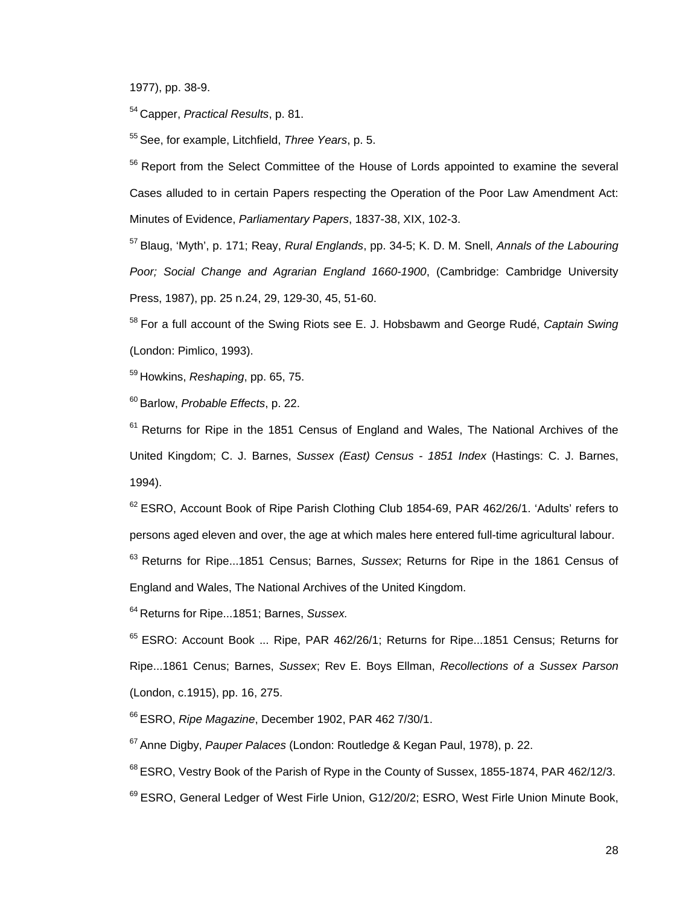1977), pp. 38-9.

54 Capper, *Practical Results*, p. 81.

55 See, for example, Litchfield, *Three Years*, p. 5.

<sup>56</sup> Report from the Select Committee of the House of Lords appointed to examine the several Cases alluded to in certain Papers respecting the Operation of the Poor Law Amendment Act: Minutes of Evidence, *Parliamentary Papers*, 1837-38, XIX, 102-3.

57 Blaug, 'Myth', p. 171; Reay, *Rural Englands*, pp. 34-5; K. D. M. Snell, *Annals of the Labouring Poor; Social Change and Agrarian England 1660-1900*, (Cambridge: Cambridge University Press, 1987), pp. 25 n.24, 29, 129-30, 45, 51-60.

58 For a full account of the Swing Riots see E. J. Hobsbawm and George Rudé, *Captain Swing* (London: Pimlico, 1993).

59 Howkins, *Reshaping*, pp. 65, 75.

60 Barlow, *Probable Effects*, p. 22.

 $61$  Returns for Ripe in the 1851 Census of England and Wales, The National Archives of the United Kingdom; C. J. Barnes, *Sussex (East) Census - 1851 Index* (Hastings: C. J. Barnes, 1994).

 $62$  ESRO, Account Book of Ripe Parish Clothing Club 1854-69, PAR 462/26/1. 'Adults' refers to persons aged eleven and over, the age at which males here entered full-time agricultural labour.

63 Returns for Ripe...1851 Census; Barnes, *Sussex*; Returns for Ripe in the 1861 Census of England and Wales, The National Archives of the United Kingdom.

64 Returns for Ripe...1851; Barnes, *Sussex.*

65 ESRO: Account Book ... Ripe, PAR 462/26/1; Returns for Ripe...1851 Census; Returns for Ripe...1861 Cenus; Barnes, *Sussex*; Rev E. Boys Ellman, *Recollections of a Sussex Parson* (London, c.1915), pp. 16, 275.

66 ESRO, *Ripe Magazine*, December 1902, PAR 462 7/30/1.

67 Anne Digby, *Pauper Palaces* (London: Routledge & Kegan Paul, 1978), p. 22.

<sup>68</sup> ESRO, Vestry Book of the Parish of Rype in the County of Sussex, 1855-1874, PAR 462/12/3.

<sup>69</sup> ESRO, General Ledger of West Firle Union, G12/20/2; ESRO, West Firle Union Minute Book,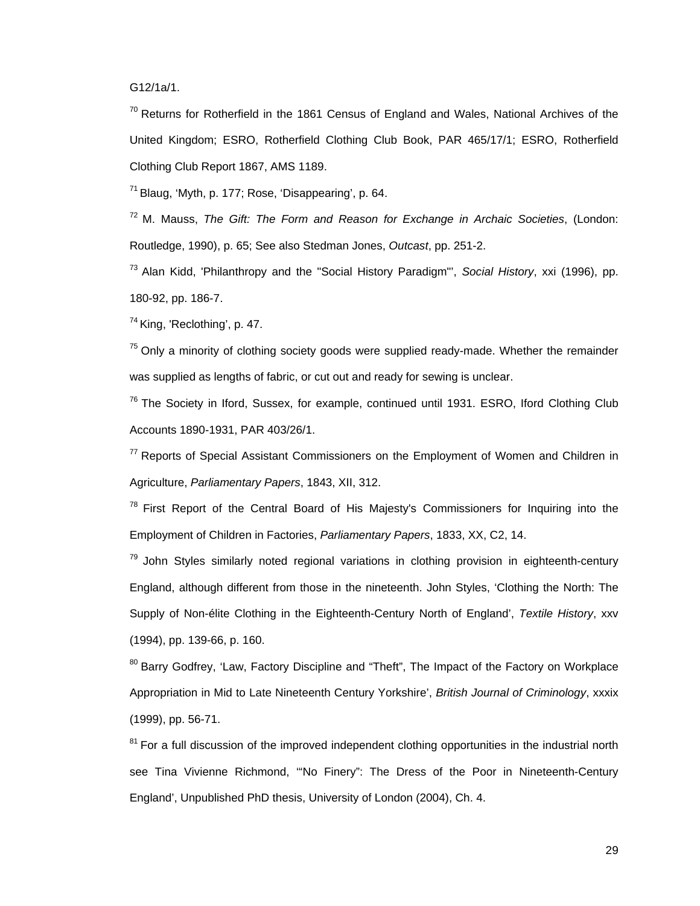G12/1a/1.

 $70$  Returns for Rotherfield in the 1861 Census of England and Wales, National Archives of the United Kingdom; ESRO, Rotherfield Clothing Club Book, PAR 465/17/1; ESRO, Rotherfield Clothing Club Report 1867, AMS 1189.

 $71$  Blaug, 'Myth, p. 177; Rose, 'Disappearing', p. 64.

72 M. Mauss, *The Gift: The Form and Reason for Exchange in Archaic Societies*, (London: Routledge, 1990), p. 65; See also Stedman Jones, *Outcast*, pp. 251-2.

73 Alan Kidd, 'Philanthropy and the "Social History Paradigm"', *Social History*, xxi (1996), pp. 180-92, pp. 186-7.

74 King, 'Reclothing', p. 47.

 $75$  Only a minority of clothing society goods were supplied ready-made. Whether the remainder was supplied as lengths of fabric, or cut out and ready for sewing is unclear.

 $76$  The Society in Iford, Sussex, for example, continued until 1931. ESRO, Iford Clothing Club Accounts 1890-1931, PAR 403/26/1.

 $77$  Reports of Special Assistant Commissioners on the Employment of Women and Children in Agriculture, *Parliamentary Papers*, 1843, XII, 312.

<sup>78</sup> First Report of the Central Board of His Majesty's Commissioners for Inquiring into the Employment of Children in Factories, *Parliamentary Papers*, 1833, XX, C2, 14.

 $79$  John Styles similarly noted regional variations in clothing provision in eighteenth-century England, although different from those in the nineteenth. John Styles, 'Clothing the North: The Supply of Non-élite Clothing in the Eighteenth-Century North of England', *Textile History*, xxv (1994), pp. 139-66, p. 160.

<sup>80</sup> Barry Godfrey, 'Law, Factory Discipline and "Theft", The Impact of the Factory on Workplace Appropriation in Mid to Late Nineteenth Century Yorkshire', *British Journal of Criminology*, xxxix (1999), pp. 56-71.

 $81$  For a full discussion of the improved independent clothing opportunities in the industrial north see Tina Vivienne Richmond, '"No Finery": The Dress of the Poor in Nineteenth-Century England', Unpublished PhD thesis, University of London (2004), Ch. 4.